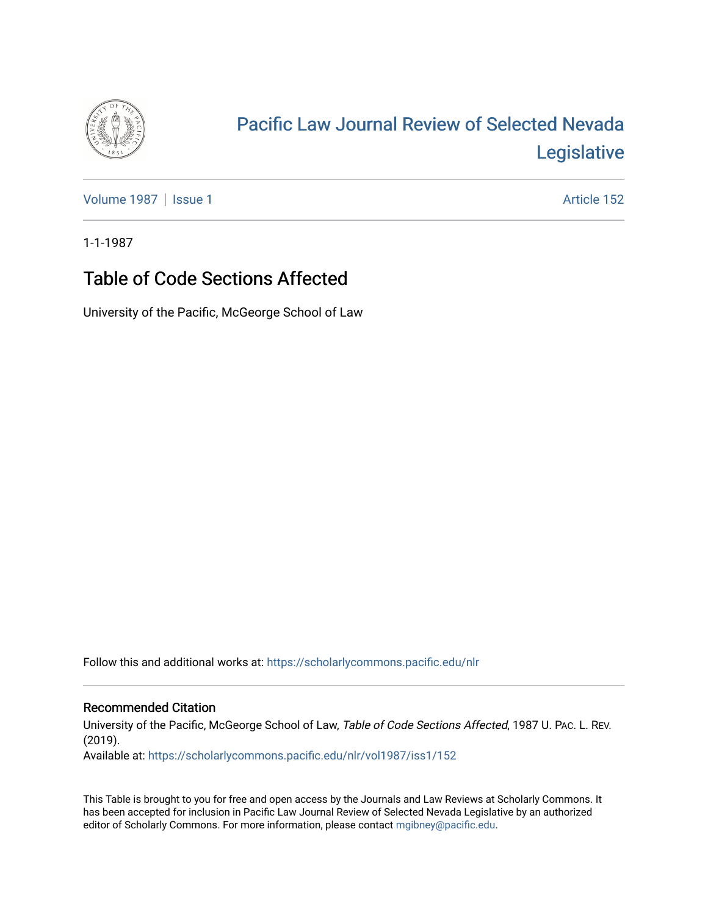

# [Pacific Law Journal Review of Selected Nevada](https://scholarlycommons.pacific.edu/nlr)  [Legislative](https://scholarlycommons.pacific.edu/nlr)

[Volume 1987](https://scholarlycommons.pacific.edu/nlr/vol1987) | [Issue 1](https://scholarlycommons.pacific.edu/nlr/vol1987/iss1) Article 152

1-1-1987

## Table of Code Sections Affected

University of the Pacific, McGeorge School of Law

Follow this and additional works at: [https://scholarlycommons.pacific.edu/nlr](https://scholarlycommons.pacific.edu/nlr?utm_source=scholarlycommons.pacific.edu%2Fnlr%2Fvol1987%2Fiss1%2F152&utm_medium=PDF&utm_campaign=PDFCoverPages) 

#### Recommended Citation

University of the Pacific, McGeorge School of Law, Table of Code Sections Affected, 1987 U. PAc. L. REV. (2019). Available at: [https://scholarlycommons.pacific.edu/nlr/vol1987/iss1/152](https://scholarlycommons.pacific.edu/nlr/vol1987/iss1/152?utm_source=scholarlycommons.pacific.edu%2Fnlr%2Fvol1987%2Fiss1%2F152&utm_medium=PDF&utm_campaign=PDFCoverPages) 

This Table is brought to you for free and open access by the Journals and Law Reviews at Scholarly Commons. It has been accepted for inclusion in Pacific Law Journal Review of Selected Nevada Legislative by an authorized editor of Scholarly Commons. For more information, please contact [mgibney@pacific.edu](mailto:mgibney@pacific.edu).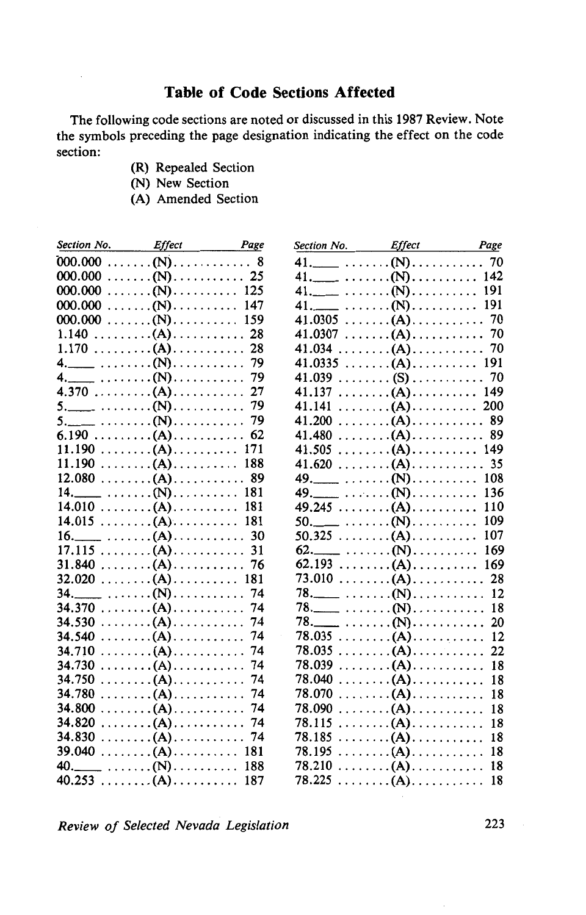#### **Table of Code Sections Affected**

The following code sections are noted or discussed in this 1987 Review. Note the symbols preceding the page designation indicating the effect on the code section:

- (R) Repealed Section
- (N) New Section
- (A) Amended Section

|        | Section No. Effect Page                                                                                                                                                                          |  |
|--------|--------------------------------------------------------------------------------------------------------------------------------------------------------------------------------------------------|--|
|        |                                                                                                                                                                                                  |  |
|        |                                                                                                                                                                                                  |  |
|        |                                                                                                                                                                                                  |  |
|        | $000.000 \ldots (N) \ldots (N)$                                                                                                                                                                  |  |
|        |                                                                                                                                                                                                  |  |
|        |                                                                                                                                                                                                  |  |
|        | $1.170$ (A) 28                                                                                                                                                                                   |  |
|        |                                                                                                                                                                                                  |  |
|        |                                                                                                                                                                                                  |  |
|        | 4.370 (A) 27                                                                                                                                                                                     |  |
|        |                                                                                                                                                                                                  |  |
|        | $5.$ $\ldots$ $\ldots$ $\ldots$ $\ldots$ $\ldots$ $\ldots$ $\ldots$ 79                                                                                                                           |  |
|        |                                                                                                                                                                                                  |  |
|        | $11.190 \ldots (A) \ldots (B)$                                                                                                                                                                   |  |
|        | $11.190 \ldots \ldots (A) \ldots \ldots 188$                                                                                                                                                     |  |
|        |                                                                                                                                                                                                  |  |
|        |                                                                                                                                                                                                  |  |
|        | $14.010 \ldots \ldots (A) \ldots \ldots 181$                                                                                                                                                     |  |
|        | $14.015 \ldots (A) \ldots (B)$                                                                                                                                                                   |  |
|        |                                                                                                                                                                                                  |  |
|        | $17.115 \ldots (A) \ldots \ldots 31$                                                                                                                                                             |  |
|        |                                                                                                                                                                                                  |  |
|        |                                                                                                                                                                                                  |  |
|        |                                                                                                                                                                                                  |  |
|        | 34.370 (A)<br>34.370 (A)<br>34.370 (A)<br>34.370 (A)<br>34.330 (A)<br>34.530 (A)<br>34.540 (A)<br>34.710 (A)<br>34.730 (A)<br>34.750 (A)<br>34.780 (A)<br>34.780 (A)<br>34.780 (A)<br>34.780 (A) |  |
|        |                                                                                                                                                                                                  |  |
|        |                                                                                                                                                                                                  |  |
|        |                                                                                                                                                                                                  |  |
|        |                                                                                                                                                                                                  |  |
|        |                                                                                                                                                                                                  |  |
|        |                                                                                                                                                                                                  |  |
| 34.800 |                                                                                                                                                                                                  |  |
| 34.820 | $\ldots \ldots \ldots (A) \ldots \ldots \ldots \ldots$ 74                                                                                                                                        |  |
| 34.830 | $\ldots \ldots \ldots (A) \ldots \ldots \ldots \ldots 74$                                                                                                                                        |  |
| 39.040 | $\ldots \ldots \ldots (A) \ldots \ldots \ldots 181$                                                                                                                                              |  |
|        | 40. $\qquad \qquad (N) \ldots \ldots \ldots \quad 188$                                                                                                                                           |  |
|        |                                                                                                                                                                                                  |  |

| Section No. Effect Page                                                |                                                           |    |
|------------------------------------------------------------------------|-----------------------------------------------------------|----|
| $41.$ $\ldots$ $\ldots$ $(N)$ $\ldots$ $\ldots$ $\ldots$ 70            |                                                           |    |
|                                                                        |                                                           |    |
|                                                                        |                                                           |    |
|                                                                        |                                                           |    |
| 41.0305 (A) 70                                                         |                                                           |    |
| 41.0307 (A) 70                                                         |                                                           |    |
| 41.034 (A) 70                                                          |                                                           |    |
|                                                                        |                                                           |    |
| 41.039 (S) 70                                                          |                                                           |    |
| 41.137                                                                 | $\ldots$ 149                                              |    |
| 41.141                                                                 | $\ldots \ldots \ldots (A) \ldots \ldots \ldots 200$       |    |
| 41.200                                                                 | $\ldots \ldots \ldots (A) \ldots \ldots \ldots \ldots 89$ |    |
| 41.480                                                                 | $\ldots \ldots (A) \ldots \ldots \ldots 89$               |    |
| 41.505                                                                 | $\ldots \ldots \ldots (A) \ldots \ldots \ldots 149$       |    |
| $41.620 \ldots (A) \ldots (B)$                                         |                                                           |    |
| 49. $\qquad \qquad \ldots \ldots (N) \ldots \ldots \ldots 108$         |                                                           |    |
|                                                                        |                                                           |    |
|                                                                        |                                                           |    |
|                                                                        |                                                           |    |
|                                                                        |                                                           |    |
| 62. (19 $\dots$ . (N) 169<br>62.193 (A) 169                            |                                                           |    |
|                                                                        |                                                           |    |
|                                                                        |                                                           |    |
|                                                                        |                                                           |    |
| $78.$ $\qquad \qquad \ldots \ldots (N) \ldots \ldots \ldots \ldots 18$ |                                                           |    |
| $78.$ $\ldots$ $\ldots$ $(N)$ $\ldots$ $\ldots$ $\ldots$ 20            |                                                           |    |
|                                                                        |                                                           |    |
|                                                                        |                                                           |    |
| 78.039                                                                 | $\ldots \ldots (A) \ldots \ldots \ldots 18$               |    |
| 78.040                                                                 | . (A)                                                     | 18 |
| 78.070                                                                 | . (A).                                                    | 18 |
| 78.090                                                                 | . (A)                                                     | 18 |
| 78.115                                                                 | . (A)                                                     | 18 |
| 78.185                                                                 | . (A)                                                     | 18 |
| 78.195                                                                 | . (A)                                                     | 18 |
| 78.210                                                                 | $\ldots \ldots \ldots (A) \ldots \ldots \ldots$           | 18 |
| 78.225                                                                 | . (A)                                                     | 18 |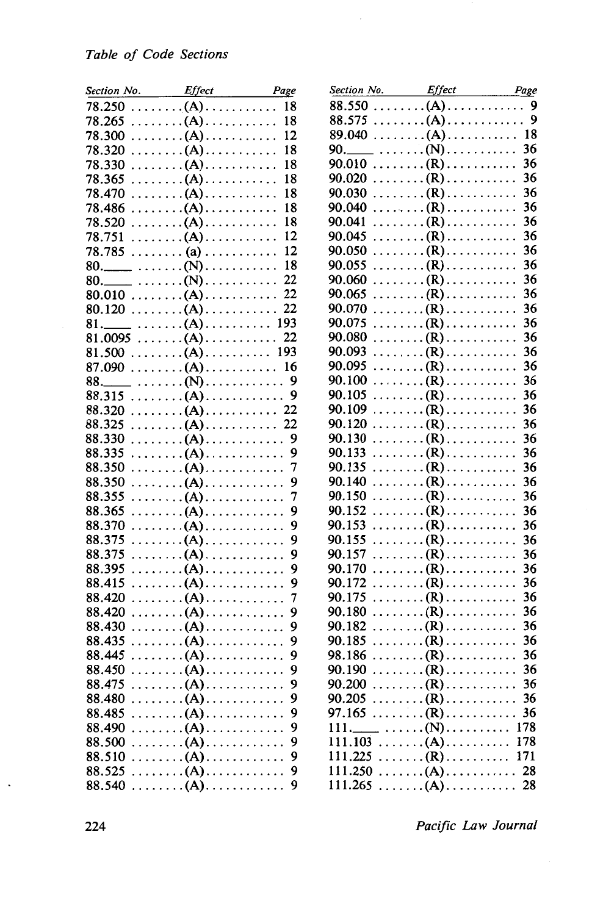|        | Section No. Effect Page                                   |                |
|--------|-----------------------------------------------------------|----------------|
| 78.250 | $\ldots \ldots \ldots (A) \ldots \ldots \ldots \ldots 18$ |                |
| 78.265 | . (A)                                                     | 18             |
| 78.300 | . (A)                                                     | 12             |
| 78.320 | . (A)                                                     | 18             |
| 78.330 | . (A).                                                    | 18             |
| 78.365 | . (A)                                                     | 18             |
| 78.470 | . (A).                                                    | 18             |
| 78.486 | . (A)                                                     | 18             |
| 78.520 | . (A)                                                     | 18             |
| 78.751 | . (A)                                                     | 12             |
|        | $78.785$ (a)  12                                          |                |
|        | 80. ______ (N) 18                                         |                |
|        |                                                           |                |
|        |                                                           |                |
|        |                                                           |                |
|        | 81. (A)  (A)  193<br>81.0095  (A)  22                     |                |
|        |                                                           |                |
|        | 81.500 (A) 193                                            |                |
|        |                                                           |                |
|        |                                                           |                |
| 88.315 | . (A) 9                                                   |                |
| 88.320 | $\ldots \ldots \ldots (A) \ldots \ldots \ldots 22$        |                |
| 88.325 | $\ldots \ldots \ldots (A) \ldots \ldots \ldots 22$        |                |
| 88.330 | . (A) 9                                                   |                |
| 88.335 | . (A)                                                     | 9              |
| 88.350 | . (A)                                                     | $\overline{7}$ |
| 88.350 | . (A)                                                     | 9              |
| 88.355 | . (A)                                                     | 7              |
| 88.365 | . (A)                                                     | 9              |
| 88.370 | . (A)                                                     | 9              |
| 88.375 | . (A)                                                     | 9              |
| 88.375 | . (A)                                                     | 9              |
| 88.395 | . (A)                                                     | 9              |
| 88.415 | . (A).                                                    | 9              |
| 88.420 | . (A)                                                     | 7              |
| 88.420 | . (A)                                                     | 9              |
| 88.430 | . (A)                                                     | 9              |
| 88.435 | . (A)                                                     | 9              |
| 88.445 | . (A)                                                     | 9              |
| 88.450 | $\ldots \ldots \ldots (A) \ldots \ldots \ldots$           | 9              |
| 88.475 | . (A)                                                     | 9              |
| 88.480 | . (A)                                                     | 9              |
| 88.485 | . (A)                                                     | 9              |
| 88.490 | . (A)                                                     | 9              |
| 88.500 | . (A).                                                    | 9              |
| 88.510 | . (A)                                                     | 9              |
| 88.525 | . (A)                                                     | 9              |
| 88.540 | . (A)                                                     | 9              |

| Section No. Effect                              |                                                        | Page |
|-------------------------------------------------|--------------------------------------------------------|------|
| 88.550                                          | . (A)                                                  | 9    |
|                                                 |                                                        | 9    |
| $89.040$ $( A)$                                 |                                                        | 18   |
| 90.                                             | $\qquad \qquad \ldots \ldots (N) \ldots \ldots \ldots$ | 36   |
| 90.010                                          | . (R)                                                  | 36   |
| 90.020                                          | . (R)                                                  | 36   |
| 90.030                                          | . (R)                                                  | 36   |
| 90.040                                          | . (R)                                                  | 36   |
| 90.041                                          | . (R)                                                  | 36   |
| 90.045                                          | . (R)                                                  | 36   |
| 90.050                                          | . (R)                                                  | 36   |
| 90.055                                          | . (R)                                                  | 36   |
| 90.060                                          | . (R)                                                  | 36   |
| 90.065                                          | . (R)                                                  | 36   |
| 90.070                                          | . (R)                                                  | 36   |
| 90.075                                          | . (R) <i>.</i> .                                       | 36   |
| 90.080                                          | . (R)                                                  | 36   |
| 90.093                                          | . (R)                                                  | 36   |
| 90.095                                          | . (R)                                                  | 36   |
| 90.100                                          | . (R)                                                  | 36   |
| 90.105                                          | . (R)                                                  | 36   |
| 90.109                                          | . (R)                                                  | 36   |
| 90.120                                          | . (R)                                                  | 36   |
| 90.130                                          | . (R)                                                  | 36   |
| 90.133                                          | . (R)                                                  | 36   |
| 90.135                                          | . (R)                                                  | 36   |
| 90.140                                          | . (R)                                                  | 36   |
| 90.150                                          | . (R)                                                  | 36   |
| 90.152                                          | . (R)                                                  | 36   |
| 90.153                                          | . (R)                                                  | 36   |
| 90.155                                          | . (R)                                                  | 36   |
| 90.157                                          | . (R)                                                  | 36   |
| 90.170                                          | . (R)                                                  | 36   |
| 90.172                                          | . . <i>.</i> (R)                                       | 36   |
| 90.175                                          | . (R)                                                  | 36   |
| 90.180                                          | . (R)                                                  | 36   |
| 90.182                                          | . (R)                                                  | 36   |
| 90.185                                          | . (R)                                                  | 36   |
| 98.186                                          | . (R)                                                  | 36   |
| 90.190                                          | $\ldots \ldots \ldots (R) \ldots \ldots \ldots 36$     |      |
| 90.200 $\ldots \ldots (R) \ldots \ldots \ldots$ |                                                        | 36   |
| 90.205 (R)                                      |                                                        | 36   |
| 97.165                                          | . (R)                                                  | 36   |
| $111.$ $\dots (N)$                              |                                                        | 178  |
| 111.103                                         | . (A)                                                  | 178  |
| $111.225 \ldots (R) \ldots \ldots$              |                                                        | 171  |
| $111.250 \ldots (A) \ldots \ldots$              |                                                        | 28   |
| $111.265 \ldots (A) \ldots \ldots 28$           |                                                        |      |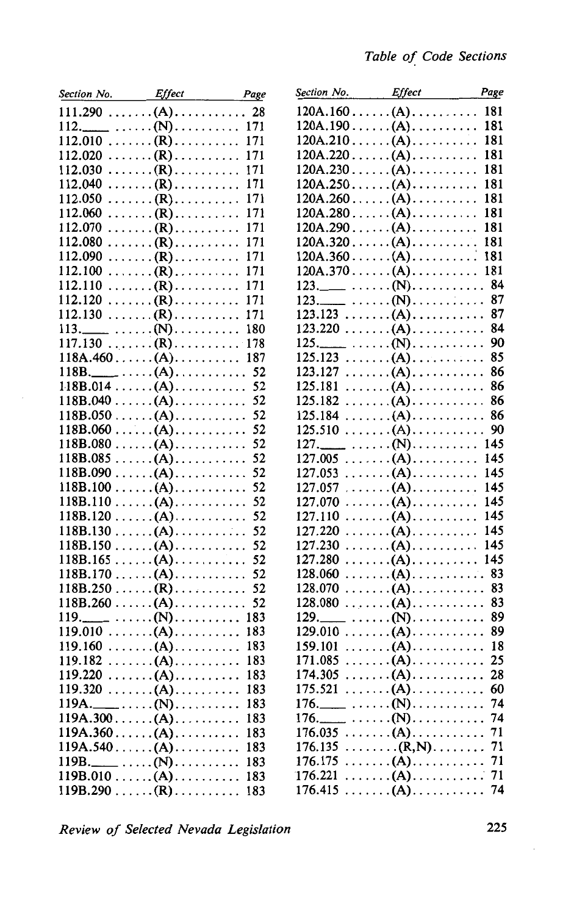| Section No.                                                                                                                                                                                                                                                                                  | <b>Effect</b> | Page | Section No.                                                           | <i>Effect</i>                         | Page |
|----------------------------------------------------------------------------------------------------------------------------------------------------------------------------------------------------------------------------------------------------------------------------------------------|---------------|------|-----------------------------------------------------------------------|---------------------------------------|------|
|                                                                                                                                                                                                                                                                                              |               |      |                                                                       | $120A.160$ (A) 181                    |      |
|                                                                                                                                                                                                                                                                                              |               |      |                                                                       | $120A.190$ $(A)$                      | 181  |
| $112.010 \ldots \ldots (R) \ldots \ldots$                                                                                                                                                                                                                                                    |               | 171  |                                                                       |                                       |      |
| $112.020 \ldots (R) \ldots (R)$                                                                                                                                                                                                                                                              |               |      |                                                                       | $120A.220$ (A) 181                    |      |
| $112.030 \ldots (R) \ldots (R)$                                                                                                                                                                                                                                                              |               |      |                                                                       | $120A.230$ (A) 181                    |      |
| $112.040$ (R)                                                                                                                                                                                                                                                                                |               | 171  |                                                                       | $120A.250$ (A)                        | 181  |
| $112.050$ (R)                                                                                                                                                                                                                                                                                |               | 171  |                                                                       | $120A.260$ (A) 181                    |      |
| $112.060 \ldots (R) \ldots (R)$                                                                                                                                                                                                                                                              |               | 171  |                                                                       |                                       |      |
| 112.070 (R)                                                                                                                                                                                                                                                                                  |               | 171  |                                                                       | $120A.290$ $(A)$                      | 181  |
| $112.080$ (R)                                                                                                                                                                                                                                                                                |               | 171  |                                                                       | $120A.320$ $(A)$                      | 181  |
| 112.090 (R) 171                                                                                                                                                                                                                                                                              |               |      |                                                                       | $120A.360$ (A) 181                    |      |
| $112.100 \ldots (R) \ldots \ldots$                                                                                                                                                                                                                                                           |               | 171  |                                                                       | $120A.370$ (A) 181                    |      |
| $112.110$ $(R)$                                                                                                                                                                                                                                                                              |               | 171  |                                                                       |                                       |      |
|                                                                                                                                                                                                                                                                                              |               |      |                                                                       |                                       |      |
| $112.130 \ldots (R) \ldots (R)$                                                                                                                                                                                                                                                              |               |      |                                                                       | $123.123 \ldots (A) \ldots \ldots 87$ |      |
|                                                                                                                                                                                                                                                                                              |               |      |                                                                       | $123.220 \ldots (A) \ldots (B)$       |      |
| $117.130$ (R) 178                                                                                                                                                                                                                                                                            |               |      |                                                                       |                                       |      |
|                                                                                                                                                                                                                                                                                              |               |      |                                                                       | $125.123 \ldots (A) \ldots (B)$       |      |
| $118B$ . $( A)$ . $( A)$ . $( A)$ . $( A)$ . $( A)$ . $( A)$ . $( A)$ . $( A)$ . $( A)$ . $( A)$ . $( A)$ . $( A)$ . $( A)$ . $( A)$ . $( A)$ . $( A)$ . $( A)$ . $( A)$ . $( A)$ . $( A)$ . $( A)$ . $( A)$ . $( A)$ . $( A)$ . $( A)$ . $( A)$ . $( A)$ . $( A)$ . $( A)$ . $( A)$ . $( A$ |               | 52   |                                                                       | $123.127 \ldots (A) \ldots \ldots 86$ |      |
|                                                                                                                                                                                                                                                                                              |               |      | $125.181 \ldots (A) \ldots \ldots 86$                                 |                                       |      |
| $118B.040$ (A)                                                                                                                                                                                                                                                                               |               | 52   | $125.182 \ldots (A) \ldots (B)$                                       |                                       |      |
|                                                                                                                                                                                                                                                                                              |               |      | $125.184 \ldots (A) \ldots (B)$                                       |                                       |      |
|                                                                                                                                                                                                                                                                                              |               |      | $125.510 \ldots (A) \ldots \ldots 90$                                 |                                       |      |
|                                                                                                                                                                                                                                                                                              |               |      |                                                                       |                                       |      |
|                                                                                                                                                                                                                                                                                              |               | 52   | $127.005 \ldots (A) \ldots (A)$                                       |                                       |      |
| $118B.085$ (A)                                                                                                                                                                                                                                                                               |               |      | $127.053 \ldots (A) \ldots (B)$                                       |                                       |      |
|                                                                                                                                                                                                                                                                                              |               |      |                                                                       |                                       | 145  |
|                                                                                                                                                                                                                                                                                              |               |      | $127.057 \ldots (A) \ldots \ldots$<br>$127.070 \ldots (A) \ldots (B)$ |                                       |      |
| $118B.110 (A)$ 52                                                                                                                                                                                                                                                                            |               |      |                                                                       |                                       | 145  |
| $118B.120$ (A) 52                                                                                                                                                                                                                                                                            |               |      | $127.110 \ldots (A) \ldots \ldots$                                    |                                       |      |
| $118B.130$ $(A)$                                                                                                                                                                                                                                                                             |               | 52   | $127.220 \ldots (A) \ldots (A)$                                       |                                       |      |
| $118B.150$ (A)                                                                                                                                                                                                                                                                               |               | 52   | $127.230 \ldots (A) \ldots (A)$                                       |                                       |      |
|                                                                                                                                                                                                                                                                                              |               |      | $127.280 \ldots (A) \ldots (A)$                                       |                                       |      |
| $118B.170$ (A)                                                                                                                                                                                                                                                                               |               | 52   | $128.060 \ldots (A) \ldots (B)$                                       |                                       |      |
| $118B.250$ (R)                                                                                                                                                                                                                                                                               |               | 52   | $128.070 \ldots (A) \ldots (B)$                                       |                                       |      |
| $118B.260$ (A)                                                                                                                                                                                                                                                                               |               | 52   |                                                                       |                                       |      |
|                                                                                                                                                                                                                                                                                              |               |      | $129.$ $\qquad \qquad \ldots \ldots (N) \ldots \ldots \ldots 89$      |                                       |      |
| $119.010 \ldots (A) \ldots \ldots$                                                                                                                                                                                                                                                           |               | 183  | $129.010 \ldots (A) \ldots (B)$                                       |                                       |      |
| $119.160 \ldots (A) \ldots (B)$                                                                                                                                                                                                                                                              |               |      | $159.101 \ldots (A) \ldots (B)$                                       |                                       |      |
| $119.182 \ldots (A) \ldots (B)$                                                                                                                                                                                                                                                              |               |      | $171.085 \ldots (A) \ldots \ldots 25$                                 |                                       |      |
| $119.220 \ldots (A) \ldots (B)$                                                                                                                                                                                                                                                              |               |      | $174.305 \ldots (A) \ldots (B)$                                       |                                       |      |
| $119.320 \ldots (A) \ldots (B)$                                                                                                                                                                                                                                                              |               |      | $175.521 \ldots (A) \ldots (B)$                                       |                                       |      |
| $119A$ . $\ldots$ (N).                                                                                                                                                                                                                                                                       |               | 183  |                                                                       |                                       |      |
| $119A.300$ (A) 183                                                                                                                                                                                                                                                                           |               |      |                                                                       |                                       |      |
| $119A.360$ $(A)$                                                                                                                                                                                                                                                                             |               | 183  | $176.035 \ldots (A) \ldots \ldots 71$                                 |                                       |      |
| $119A.540$ (A)                                                                                                                                                                                                                                                                               |               | 183  | $176.135 \ldots \ldots \ldots (R,N) \ldots \ldots$                    |                                       | 71   |
|                                                                                                                                                                                                                                                                                              |               | 183  | $176.175 \ldots (A) \ldots \ldots$                                    |                                       | 71   |
| $119B.010$ (A)                                                                                                                                                                                                                                                                               |               | 183  |                                                                       |                                       |      |
| $119B.290$ (R)  183                                                                                                                                                                                                                                                                          |               |      | $176.415 \ldots (A) \ldots \ldots \ldots 74$                          |                                       |      |

|         | Section No. Effect Page                                                                               |     |
|---------|-------------------------------------------------------------------------------------------------------|-----|
|         | $120A.160$ (A) 181                                                                                    |     |
|         |                                                                                                       |     |
|         |                                                                                                       | 181 |
|         |                                                                                                       | 181 |
|         | $120A.230$ $(A)$                                                                                      | 181 |
|         | $120A.250$ (A)                                                                                        | 181 |
|         | $120A.260$ $(A)$                                                                                      | 181 |
|         | $120A.280$ $(A)$                                                                                      | 181 |
|         | $120A.290$ $(A)$                                                                                      | 181 |
|         | $120A.320$ (A)                                                                                        | 181 |
|         | 120A.320(A) 181<br>120A.360(A) 181<br>120A.370(A) 181                                                 |     |
|         |                                                                                                       |     |
|         | $123.$ $\dots (N)$                                                                                    | 84  |
|         |                                                                                                       | -87 |
|         | $123.123 \ldots (A) \ldots \ldots$                                                                    | 87  |
|         | $123.220 \ldots (A) \ldots \ldots$                                                                    | 84  |
|         |                                                                                                       | 90  |
| 125.123 | $\ldots \ldots (A) \ldots \ldots \ldots 85$                                                           |     |
| 123.127 | . (A).                                                                                                | -86 |
| 125.181 | . (A).                                                                                                | 86  |
| 125.182 | . (A) 86                                                                                              |     |
| 125.184 | $\ldots \ldots (A) \ldots \ldots \ldots 86$                                                           |     |
| 125.510 | . (A)                                                                                                 | 90  |
| 127.    | $\ldots \ldots (N) \ldots \ldots \ldots 145$                                                          |     |
| 127.005 | . (A).                                                                                                | 145 |
| 127.053 | . (A)                                                                                                 | 145 |
| 127.057 | $\ldots \ldots (A) \ldots \ldots$                                                                     | 145 |
| 127.070 | $\ldots \ldots \ldots$ (A) $\ldots \ldots \ldots \ldots$ 145<br>(A) $\ldots \ldots \ldots \ldots$ 145 | 145 |
| 127.110 |                                                                                                       |     |
| 127.220 | $\ldots \ldots (A) \ldots \ldots \ldots$                                                              | 145 |
| 127.230 | . (A)                                                                                                 | 145 |
| 127.280 | . (A).                                                                                                | 145 |
| 128.060 | $\ldots \ldots (A) \ldots \ldots \ldots 83$                                                           |     |
| 128.070 | $\ldots \ldots (A) \ldots \ldots \ldots 83$                                                           |     |
| 128.080 | $\ldots \ldots (A) \ldots \ldots \ldots 83$                                                           |     |
| 129.    | . (N)                                                                                                 | -89 |
| 129.010 | . (A).                                                                                                | 89  |
| 159.101 | $\ldots \ldots \ldots (A) \ldots \ldots \ldots \ldots 18$                                             |     |
| 171.085 | . (A).                                                                                                | 25  |
|         | $174.305 \ldots (A) \ldots \ldots$                                                                    | 28  |
|         | $175.521 \ldots (A) \ldots \ldots$                                                                    | 60  |
|         | $176.$ $\dots (N)$                                                                                    | 74  |
|         | $176.$ $\dots (N)$                                                                                    | 74  |
| 176.035 | . (A).                                                                                                | 71  |
| 176.135 | $\ldots \ldots \ldots (R,N) \ldots \ldots$                                                            | 71  |
| 176.175 | . (A).                                                                                                | 71  |
| 176.221 | . (A)                                                                                                 | 71  |
|         | 176.415 (A)                                                                                           | 74  |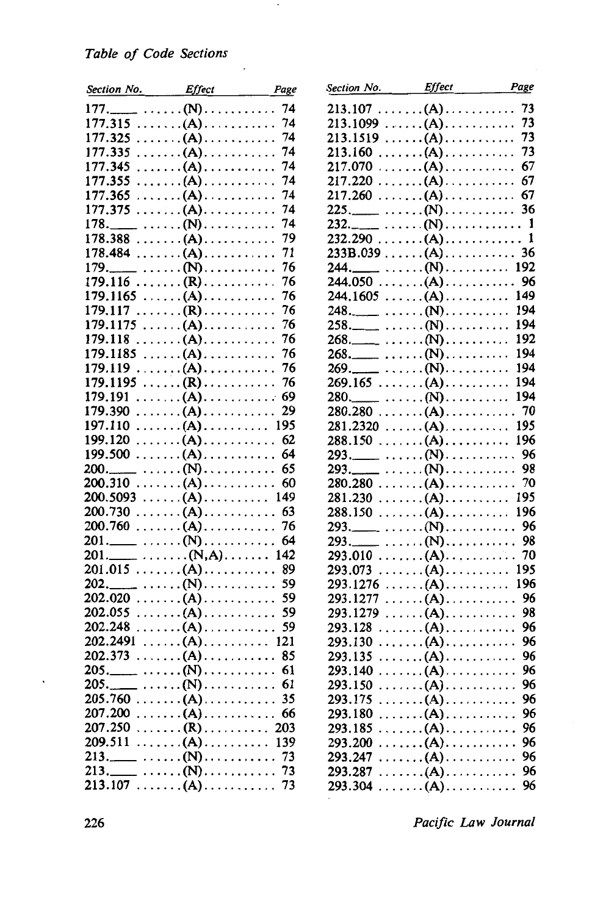#### *Table of Code Sections*

| Section No. Effect Page                                          |    | Section No. Effect |                                                                                                                                    | Page |
|------------------------------------------------------------------|----|--------------------|------------------------------------------------------------------------------------------------------------------------------------|------|
| $177.$ $\ldots$ $\ldots$ $(N)$ $\ldots$ $\ldots$ $74$            |    |                    | $213.107 \ldots (A) \ldots \ldots$                                                                                                 | 73   |
| $177.315 \ldots (A) \ldots \ldots$                               | 74 |                    | $213.1099$ (A)                                                                                                                     | 73   |
| $177.325 \ldots (A) \ldots \ldots$                               | 74 |                    | $213.1519 \ldots (A) \ldots \ldots$                                                                                                | 73   |
| $177.335 \ldots (A) \ldots \ldots$                               | 74 |                    | $213.160$ (A)                                                                                                                      | 73   |
| $177.345$ $(A)$                                                  | 74 |                    |                                                                                                                                    |      |
| $177.355 \ldots (A) \ldots \ldots$                               | 74 |                    | $217.220 \ldots (A) \ldots (B)$                                                                                                    |      |
| $177.365 \ldots (A) \ldots \ldots$                               | 74 |                    | $217.260 \ldots (A) \ldots (B)$                                                                                                    |      |
| $177.375 \ldots (A) \ldots \ldots$                               | 74 |                    |                                                                                                                                    |      |
| $178.$ _______ (N)                                               | 74 |                    |                                                                                                                                    |      |
| $178.388$ (A)                                                    | 79 |                    |                                                                                                                                    |      |
| $178.484 \ldots (A) \ldots \ldots$                               | 71 |                    |                                                                                                                                    |      |
| $179.$ $\ldots$ $\ldots$ $(N)$ $\ldots$ $\ldots$ $\ldots$        | 76 | 244.               | $\hspace{1.5cm} \ldots \hspace{1.5cm} \ldots \hspace{1.5cm} \ldots \hspace{1.5cm} \ldots \hspace{1.5cm} \ldots \hspace{1.5cm} 192$ |      |
| $179.116 \ldots (R) \ldots (R)$                                  | 76 |                    | $244.050 \ldots (A) \ldots \ldots 96$                                                                                              |      |
| $179.1165 \ldots (A) \ldots \ldots$                              | 76 |                    | $244.1605 \ldots (A) \ldots \ldots 149$                                                                                            |      |
| $179.117$ (R)                                                    | 76 |                    | $248.$ $\qquad \qquad \ldots \ldots (N) \ldots \ldots \ldots 194$                                                                  |      |
| $179.1175 \ldots (A) \ldots \ldots$                              | 76 |                    |                                                                                                                                    |      |
| $179.118 \ldots (A) \ldots \ldots$                               | 76 |                    | $268.$ _______ (N) 192                                                                                                             |      |
| $179.1185 \ldots (A) \ldots \ldots$                              | 76 |                    | $268.$ $\dots (N)$                                                                                                                 | 194  |
| $179.119 \ldots (A) \ldots \ldots$                               | 76 |                    | $269.$ $\ldots$ $\ldots$ $(N)$ $\ldots$ $\ldots$ $\ldots$                                                                          | 194  |
| $179.1195 \ldots (R) \ldots (R)$                                 | 76 |                    | $269.165$ (A)                                                                                                                      | 194  |
| $179.191 \ldots (A) \ldots (B)$                                  |    |                    | $280.$ $\qquad \qquad \ldots \ldots (N) \ldots \ldots \ldots 194$                                                                  |      |
| $179.390 \ldots (A) \ldots \ldots 29$                            |    |                    |                                                                                                                                    |      |
| $197.110 \ldots (A) \ldots (B)$                                  |    |                    |                                                                                                                                    |      |
| $199.120 \ldots (A) \ldots (B)$                                  |    |                    | $288.150 (A)$ 196                                                                                                                  |      |
|                                                                  |    |                    | $293.$ $\qquad \qquad \ldots \ldots (N) \ldots \ldots \ldots \ldots 96$                                                            |      |
| $200.$ $\qquad \qquad \ldots \ldots (N) \ldots \ldots \ldots 65$ |    |                    |                                                                                                                                    |      |
|                                                                  |    |                    |                                                                                                                                    |      |
|                                                                  |    |                    | $281.230 \ldots (A) \ldots \ldots$                                                                                                 | 195  |
| $200.730 \ldots (A) \ldots (B)$                                  |    |                    | $288.150 (A)$ 196                                                                                                                  |      |
|                                                                  |    |                    | $293.$ $\qquad \qquad \ldots \ldots (N) \ldots \ldots \ldots$                                                                      | 96   |
|                                                                  |    |                    | $293.$ $\dots (N)$                                                                                                                 | 98   |
| $201.$ (N,A) 142                                                 |    |                    | $293.010 \ldots (A) \ldots \ldots \ldots \ldots 70$                                                                                |      |
|                                                                  |    |                    |                                                                                                                                    |      |
|                                                                  |    |                    | $293.1276 \ldots (A) \ldots \ldots 196$                                                                                            |      |
|                                                                  |    |                    | 293.1277 (A)                                                                                                                       | 96   |
|                                                                  |    |                    | 293.1279 (A)                                                                                                                       | 98   |
|                                                                  |    |                    |                                                                                                                                    |      |
|                                                                  |    |                    |                                                                                                                                    |      |
|                                                                  |    |                    | 293.135 (A) 96                                                                                                                     |      |
|                                                                  |    |                    | $293.140$ (A)                                                                                                                      | 96   |
|                                                                  |    |                    | $293.150 \ldots (A) \ldots \ldots 96$                                                                                              |      |
| $205.760 \ldots (A) \ldots \ldots 35$                            |    |                    | $293.175 \ldots (A) \ldots \ldots$                                                                                                 | 96   |
| $207.200 \ldots (A) \ldots (B)$                                  |    |                    | $293.180$ (A)                                                                                                                      | 96   |
|                                                                  |    |                    | $293.185$ (A)                                                                                                                      | 96   |
|                                                                  |    |                    | $293.200 \ldots (A) \ldots \ldots$                                                                                                 | 96   |
|                                                                  |    |                    | $293.247$ (A)                                                                                                                      | 96   |
|                                                                  |    |                    | 293.287 (A)                                                                                                                        | 96   |
| $213.107 \ldots (A) \ldots \ldots \ldots 73$                     |    |                    | $293.304 \ldots (A) \ldots \ldots 96$                                                                                              |      |

 $\cdot$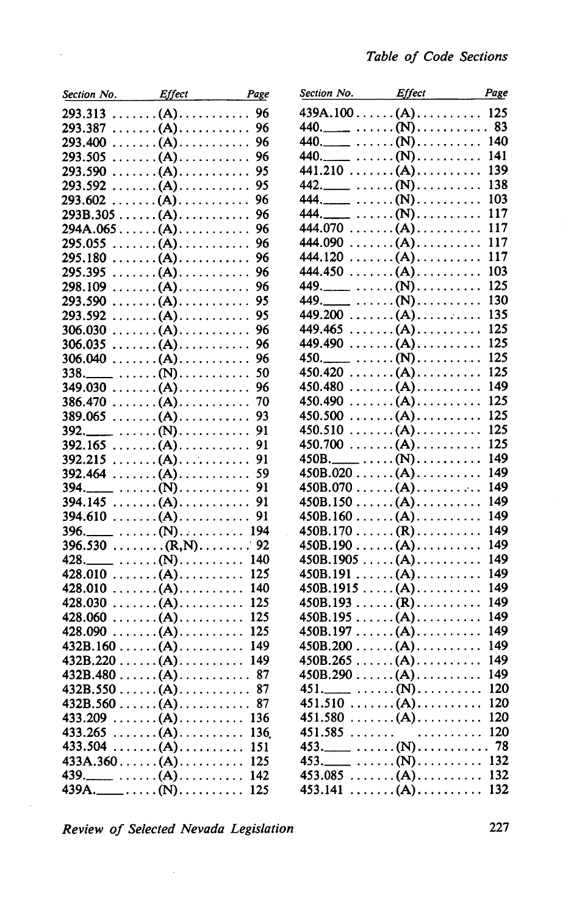| Section No. Effect Page                   |     | Section No. Effect Page                                          |     |
|-------------------------------------------|-----|------------------------------------------------------------------|-----|
|                                           |     |                                                                  |     |
|                                           |     | $440.$ $\qquad \qquad \ldots \ldots (N) \ldots \ldots \ldots 83$ |     |
|                                           |     |                                                                  |     |
|                                           |     | 440. ______ (N) 141                                              |     |
|                                           |     | $441.210 \ldots (A) \ldots (B)$                                  |     |
|                                           |     |                                                                  |     |
| $293.602 \ldots \ldots (A) \ldots \ldots$ | 96  | $444.$ $\dots (N) \dots 103$                                     |     |
|                                           |     | $444.$ $\dots (N) \dots \dots$                                   | 117 |
|                                           |     | $444.070 \ldots (A) \ldots \ldots$                               | 117 |
| $295.055$ (A)                             | 96  | $444.090 \ldots \ldots (A) \ldots \ldots$                        | 117 |
|                                           |     | $444.120 \ldots (A) \ldots \ldots$                               | 117 |
|                                           |     | 444.450 (A)                                                      | 103 |
| $298.109$ (A)                             | 96  | 449. $\ldots$ (N) 125                                            |     |
| $293.590 \ldots (A) \ldots \ldots 95$     |     | 449. $\ldots$ (N) 130                                            |     |
|                                           |     | $449.200 \ldots (A) \ldots (B)$                                  |     |
|                                           |     |                                                                  |     |
|                                           |     | 449.490 (A) 125                                                  |     |
|                                           |     |                                                                  |     |
| $338.$ _________ (N)                      | 50  | $450.420$ $(A)$                                                  | 125 |
| $349.030 \ldots (A) \ldots \ldots 96$     |     | $450.480$ $(A)$                                                  | 149 |
| $386.470$ (A)                             | 70  | $450.490 \ldots (A) \ldots \ldots$                               | 125 |
|                                           |     | $450.500 \ldots (A) \ldots \ldots$                               | 125 |
|                                           |     |                                                                  |     |
|                                           |     |                                                                  | 125 |
| $392.165$ (A)                             | 91  | $450.700 \ldots (A) \ldots \ldots$                               | 149 |
|                                           |     |                                                                  | 149 |
|                                           |     | $450B.020$ (A)<br>$450B.070$ (A)                                 | 149 |
|                                           |     |                                                                  |     |
|                                           |     | 450B.150 (A)                                                     | 149 |
| $394.610 \ldots (A) \ldots \ldots$        | 91  | $450B.160$ $(A)$                                                 | 149 |
|                                           |     | $450B.170$ (R)                                                   | 149 |
| $396.530$ (R,N) 92                        |     | $450B.190$ (A)                                                   | 149 |
| $428.$ ________ (N)                       | 140 | $450B.1905$ $(A)$                                                | 149 |
| $428.010 \ldots (A) \ldots \ldots$        | 125 | $450B.191$ (A)                                                   | 149 |
| $428.010$ (A)                             | 140 | 450B.1915 (A)                                                    | 149 |
|                                           |     | $450B.193$ $(R)$                                                 | 149 |
|                                           |     | $450B.195$ $(A)$                                                 | 149 |
| 428.090 (A) 125                           |     | $450B.197$ $(A)$                                                 | 149 |
| $432B.160$ (A) 149                        |     | $450B.200$ (A) 149                                               |     |
| $432B.220$ (A) 149                        |     |                                                                  |     |
|                                           |     | $450B.290$ (A)                                                   | 149 |
|                                           |     |                                                                  |     |
| $432B.560$ (A)                            | 87  | $451.510 \ldots (A) \ldots (B)$                                  |     |
| 433.209 (A) 136                           |     | $451.580 \ldots (A) \ldots \ldots$                               | 120 |
| 433.265 (A) 136                           |     | $451.585$                                                        | 120 |
| $433.504$ (A)                             | 151 | $453.$ $\dots (N) \dots 78$                                      |     |
| $433A.360$ (A) 125                        |     | $453.$ $\dots (N) \dots 132$                                     |     |
| $439.$ $\ldots$ $(A)$ $\ldots$ $142$      |     |                                                                  |     |
| $439A$ . $\ldots$ (N). 125                |     | $453.141 \ldots \ldots (A) \ldots \ldots \ldots 132$             |     |

ò,

| Section No. Effect |                                                                   | Page | Section No. Effect Page                                                 |     |
|--------------------|-------------------------------------------------------------------|------|-------------------------------------------------------------------------|-----|
|                    |                                                                   |      | $439A.100$ (A) 125                                                      |     |
|                    |                                                                   |      | 440. _____ (N) 83                                                       |     |
|                    |                                                                   |      |                                                                         |     |
|                    |                                                                   |      |                                                                         |     |
|                    |                                                                   |      | $441.210 \ldots (A) \ldots (B)$                                         |     |
|                    |                                                                   |      |                                                                         |     |
|                    |                                                                   |      | $444.$ $\dots (N) \dots 103$                                            |     |
|                    |                                                                   |      |                                                                         |     |
|                    |                                                                   |      | 444.070 (A) 117                                                         |     |
|                    | $295.055$ $(A)$                                                   | 96   | $444.090 \ldots (A) \ldots \ldots 117$                                  |     |
|                    |                                                                   |      | $444.120 \ldots (A) \ldots \ldots$                                      | 117 |
|                    | 295.395 (A) (A)                                                   |      |                                                                         |     |
|                    |                                                                   |      | 449. $\ldots$ (N) 125                                                   |     |
|                    |                                                                   |      | 449. $\qquad \qquad (N) \ldots \ldots \ldots \quad 130$                 |     |
|                    |                                                                   |      | $449.200 \ldots (A) \ldots (B)$                                         |     |
|                    |                                                                   |      | $449.465$ (A) 125                                                       |     |
|                    |                                                                   |      | 449.490 (A) 125                                                         |     |
|                    |                                                                   |      | $450.$ $\ldots$ $\ldots$ $(N)$ $\ldots$ $\ldots$ $125$                  |     |
|                    | $338.$ ________ (N) 50                                            |      | $450.420 \ldots (A) \ldots (B)$                                         |     |
|                    | $349.030 \ldots (A) \ldots \ldots 96$                             |      | $450.480$ $(A)$                                                         | 149 |
|                    | $386.470 \ldots (A) \ldots \ldots 70$                             |      | $450.490$ $(A)$                                                         | 125 |
|                    |                                                                   |      | $450.500$ $(A)$                                                         | 125 |
|                    |                                                                   |      |                                                                         |     |
|                    |                                                                   |      | $450.700 \ldots (A) \ldots (A)$                                         |     |
|                    |                                                                   |      | $450B$ . $\ldots$ $(N)$ .                                               | 149 |
|                    |                                                                   |      | $450B.020$ (A)                                                          | 149 |
|                    |                                                                   |      | $450B.070$ (A)                                                          | 149 |
|                    |                                                                   |      | $450B.150$ (A)                                                          | 149 |
|                    | $394.610 \ldots (A) \ldots \ldots$                                | 91   | $450B.160$ (A)                                                          | 149 |
|                    |                                                                   |      |                                                                         | 149 |
|                    | $396.$ $\qquad \qquad \ldots \ldots (N) \ldots \ldots \ldots 194$ |      | $450B.170$ (R)                                                          |     |
|                    | $396.530$ (R,N) 92                                                |      | $450B.190$ (A)                                                          | 149 |
|                    |                                                                   |      | $450B.1905$ $(A)$                                                       | 149 |
|                    | $428.010 \ldots (A) \ldots (B)$                                   |      | $450B.191$ (A)                                                          | 149 |
|                    | $428.010 \ldots (A) \ldots (B)$                                   |      | 450B.1915 (A)                                                           | 149 |
|                    |                                                                   |      | $450B.193$ (R)                                                          | 149 |
|                    | $428.060 \ldots (A) \ldots (B)$                                   |      | $450B.195$ $(A)$                                                        | 149 |
|                    | $428.090 \ldots (A) \ldots (B)$                                   |      | $450B.197$ $(A)$                                                        | 149 |
|                    | $432B.160$ (A) 149                                                |      | $450B.200$ (A) 149                                                      |     |
|                    |                                                                   |      | $450B.265$ (A) 149                                                      |     |
|                    | 432B.480 (A) 87                                                   |      | $450B.290$ (A)                                                          | 149 |
|                    | 432B.550 (A) 87                                                   |      |                                                                         |     |
|                    |                                                                   |      | $451.510 \ldots (A) \ldots (B)$                                         |     |
|                    | $433.209 \ldots (A) \ldots \ldots 136$                            |      | $451.580 \ldots (A) \ldots \ldots$                                      | 120 |
|                    | $433.265 \ldots (A) \ldots \ldots 136$                            |      | $451.585$                                                               | 120 |
|                    | $433.504 \ldots (A) \ldots \ldots$                                | 151  | $453.$ $\qquad \qquad \ldots \ldots (N) \ldots \ldots \ldots \ldots 78$ |     |
|                    | $433A.360$ (A) 125                                                |      | $453.$ $\dots (N) \dots 132$                                            |     |
|                    |                                                                   |      |                                                                         |     |
|                    |                                                                   |      | $453.141 \ldots (A) \ldots \ldots 132$                                  |     |

*Review of Selected Nevada Legislation* 227

 $\sim$ 

 $\bar{\beta}$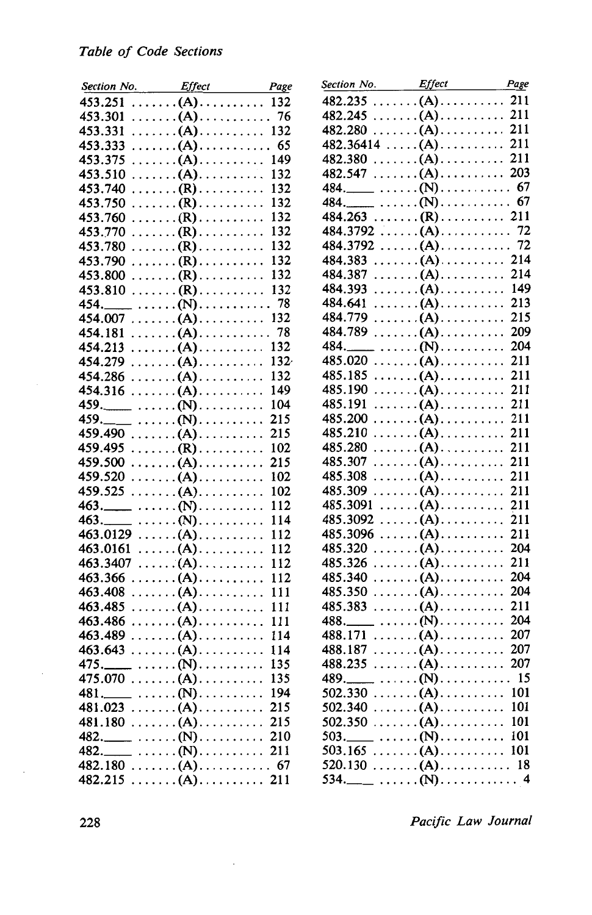|      | Section No. Effect Page                                |     | Section No. Effect Page                                                 |     |
|------|--------------------------------------------------------|-----|-------------------------------------------------------------------------|-----|
|      |                                                        |     |                                                                         |     |
|      | $453.301 \ldots (A) \ldots \ldots 76$                  |     |                                                                         |     |
|      | $453.331 \ldots (A) \ldots \ldots 132$                 |     |                                                                         |     |
|      | $453.333 \ldots (A) \ldots (B)$                        |     | $482.36414 \ldots (A) \ldots \ldots 211$                                |     |
|      |                                                        |     |                                                                         |     |
|      | $453.510$ (A)                                          | 132 |                                                                         |     |
|      | 453.740 (R) 132                                        |     | 484. $\qquad \qquad \ldots \ldots (N) \ldots \ldots \ldots \ldots 67$   |     |
|      |                                                        |     |                                                                         |     |
|      | $453.760$ (R)                                          | 132 |                                                                         |     |
|      |                                                        |     |                                                                         |     |
|      |                                                        |     | $484.3792 \ldots (A) \ldots \ldots \ldots 72$                           |     |
|      |                                                        |     |                                                                         |     |
|      |                                                        |     |                                                                         |     |
|      |                                                        |     |                                                                         |     |
| 454. | $\ldots$ (N) 78                                        |     |                                                                         |     |
|      | $454.007 \ldots (A) \ldots (B)$                        |     | $484.779 \ldots (A) \ldots \ldots 215$                                  |     |
|      | $454.181 \ldots (A) \ldots \ldots \ldots \ldots 78$    |     |                                                                         |     |
|      |                                                        |     | $484.$ $\qquad \qquad \ldots \ldots (N) \ldots \ldots \ldots 204$       |     |
|      |                                                        |     |                                                                         |     |
|      | $454.286 \ldots (A) \ldots (B)$                        |     |                                                                         |     |
|      | $454.316 \ldots (A) \ldots \ldots$                     | 149 | $485.190 \ldots (A) \ldots \ldots 211$                                  |     |
|      | 459. $\ldots$ (N) 104                                  |     | $485.191 \ldots (A) \ldots \ldots 211$                                  |     |
|      | $459.$ $\ldots$ $\ldots$ $(N)$ $\ldots$ $\ldots$ $215$ |     |                                                                         |     |
|      | 459.490 (A) 215                                        |     | $485.210 \ldots (A) \ldots \ldots 211$                                  |     |
|      | 459.495 (R) 102                                        |     |                                                                         |     |
|      |                                                        |     | $485.307 \ldots (A) \ldots \ldots 211$                                  |     |
|      | $459.520$ $(A)$                                        | 102 | $485.308 \ldots (A) \ldots \ldots 211$                                  |     |
|      | 459.525 (A)                                            | 102 | $485.309 \ldots (A) \ldots \ldots 211$                                  |     |
|      | $463.$ $\dots (N)$                                     | 112 | $485.3091 \ldots (A) \ldots \ldots$                                     | 211 |
|      | $463.$ $\dots (N)$                                     | 114 | $485.3092 \ldots (A) \ldots \ldots 211$                                 |     |
|      | $463.0129 \ldots (A) \ldots \ldots$                    | 112 | $485.3096 \ldots (A) \ldots \ldots 211$                                 |     |
|      | $463.0161 \ldots (A) \ldots \ldots$                    | 112 |                                                                         |     |
|      | $463.3407 \ldots (A) \ldots \ldots$                    | 112 |                                                                         |     |
|      | $463.366 \ldots (A) \ldots \ldots$                     | 112 |                                                                         |     |
|      | $463.408 \ldots (A) \ldots \ldots$                     | 111 |                                                                         |     |
|      | 463.485 (A) 111                                        |     |                                                                         |     |
|      |                                                        |     | $488.$ $\qquad \qquad \ldots \ldots (N) \ldots \ldots \ldots 204$       |     |
|      | $463.489 \ldots (A) \ldots \ldots$                     | 114 | $488.171$ (A) 207                                                       |     |
|      | $463.643 \ldots (A) \ldots \ldots$                     | 114 |                                                                         |     |
|      |                                                        |     | 488.235 (A) (A)                                                         |     |
|      |                                                        |     | $489.$ $\qquad \qquad \ldots \ldots (N) \ldots \ldots \ldots \ldots 15$ |     |
|      | $481.$ $\dots (N)$                                     | 194 |                                                                         |     |
|      | $481.023 \ldots (A) \ldots (B)$                        |     |                                                                         |     |
|      | $481.180 \ldots (A) \ldots \ldots$                     | 215 |                                                                         |     |
|      |                                                        | 210 |                                                                         |     |
|      |                                                        |     |                                                                         |     |
|      |                                                        |     |                                                                         |     |
|      |                                                        |     |                                                                         |     |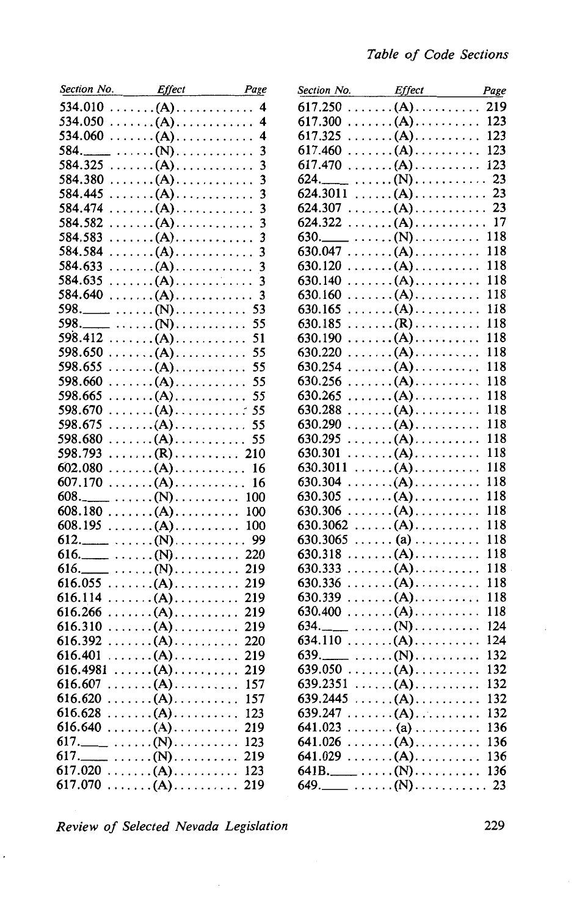|         | Section No. Effect Page                                                    |                         |
|---------|----------------------------------------------------------------------------|-------------------------|
|         |                                                                            |                         |
|         |                                                                            |                         |
|         |                                                                            |                         |
|         |                                                                            |                         |
| 584.325 | . (A)                                                                      | 3                       |
| 584.380 | $\ldots \ldots (A) \ldots \ldots \ldots$                                   | $\overline{\mathbf{3}}$ |
| 584.445 | $\ldots \ldots (A) \ldots \ldots \ldots$                                   | 3                       |
| 584.474 | $\ldots \ldots (A) \ldots \ldots \ldots$                                   | 3                       |
| 584.582 | $\ldots \ldots (A) \ldots \ldots \ldots$                                   | 3                       |
| 584.583 | . (A)                                                                      | 3                       |
| 584.584 | $\ldots \ldots (A) \ldots \ldots \ldots 3$                                 |                         |
| 584.633 | $\ldots \ldots \ldots$ (A) $\ldots \ldots \ldots \ldots$ 3                 |                         |
|         |                                                                            |                         |
|         |                                                                            |                         |
|         |                                                                            |                         |
|         |                                                                            |                         |
|         | $598.412 \ldots (A) \ldots \ldots 51$                                      |                         |
|         | 598.650 (A) 55<br>598.655 (A) 55                                           |                         |
| 598.655 |                                                                            |                         |
| 598.660 | $\ldots \ldots (A) \ldots \ldots \ldots 55$                                |                         |
| 598.665 | $\ldots \ldots (A) \ldots \ldots \ldots 55$                                |                         |
| 598.670 | $\ldots \ldots (A) \ldots \ldots \ldots 55$                                |                         |
| 598.675 | $\ldots \ldots \ldots$ (A) $\ldots \ldots \ldots$ 55                       |                         |
| 598.680 | $\ldots \ldots (A) \ldots \ldots \ldots 55$                                |                         |
| 598.793 | $\ldots \ldots (R) \ldots \ldots \ldots 210$                               |                         |
|         |                                                                            |                         |
|         |                                                                            |                         |
|         | 608. $\ldots$ $(N)$ 100                                                    |                         |
|         | 608.180 (A) (A) $(0.100$<br>608.195 (A) $(1.000$<br>612. (N) $(0.0000)$ 99 |                         |
|         |                                                                            |                         |
|         |                                                                            |                         |
|         |                                                                            |                         |
|         | $616.$ $\qquad \qquad \ldots \ldots (N) \ldots \ldots \ldots 219$          |                         |
|         |                                                                            |                         |
|         | 616.114 (A) 219<br>616.266 (A) 219                                         |                         |
|         | $616.310 \ldots (A) \ldots \ldots 219$                                     |                         |
|         | $616.392 \ldots (A) \ldots$ 220                                            |                         |
|         | 616.401 (A) 219                                                            |                         |
|         | $616.4981 \ldots (A) \ldots \ldots 219$                                    |                         |
|         | $616.607 \ldots (A) \ldots \ldots$                                         | 157                     |
| 616.620 | $\ldots \ldots (A) \ldots \ldots \ldots$                                   | 157                     |
|         | $616.628 \ldots (A) \ldots \ldots$                                         | 123                     |
|         | 616.640 (A)                                                                | 219                     |
|         | $617.$ $\qquad \qquad \ldots \ldots (N) \ldots \ldots \ldots$              | 123                     |
|         | $617.$ $\ldots$ $\ldots$ $(N)$ $\ldots$ $\ldots$ $\ldots$                  | 219                     |
|         | 617.020 (A)                                                                | 123                     |
|         | 617.070 (A)                                                                | 219                     |
|         |                                                                            |                         |

| Section No. Effect Page                                           |    | Section No.                                                       | Effect Page                                                                                                                        |     |
|-------------------------------------------------------------------|----|-------------------------------------------------------------------|------------------------------------------------------------------------------------------------------------------------------------|-----|
|                                                                   |    |                                                                   |                                                                                                                                    |     |
|                                                                   |    | $617.300$ (A) 123                                                 |                                                                                                                                    |     |
|                                                                   |    |                                                                   |                                                                                                                                    |     |
| $584.$ $\qquad \qquad \ldots \ldots (N) \ldots \ldots \ldots$     | 3  |                                                                   |                                                                                                                                    |     |
|                                                                   |    |                                                                   |                                                                                                                                    |     |
| $584.380 \ldots (A) \ldots \ldots$                                | 3  |                                                                   |                                                                                                                                    |     |
| $584.445$ (A)                                                     | 3  | $624.3011 \ldots (A) \ldots (A)$                                  |                                                                                                                                    |     |
| $584.474 \ldots (A) \ldots \ldots$                                | 3  | $624.307 \ldots (A) \ldots (B)$                                   |                                                                                                                                    |     |
| $584.582 \ldots (A) \ldots \ldots$                                | 3  | $624.322 \ldots (A) \ldots (A)$                                   |                                                                                                                                    |     |
| $584.583$ (A)                                                     | 3  | $630.$ $\qquad \qquad \ldots \ldots (N) \ldots \ldots \ldots 118$ |                                                                                                                                    |     |
| $584.584 \ldots (A) \ldots \ldots$                                | 3  | $630.047 \ldots (A) \ldots \ldots$                                |                                                                                                                                    | 118 |
| $584.633 \ldots (A) \ldots \ldots$                                | 3  |                                                                   |                                                                                                                                    |     |
| $584.635$ (A)                                                     | 3  |                                                                   |                                                                                                                                    |     |
|                                                                   |    | $630.160$ (A)                                                     |                                                                                                                                    | 118 |
| $598.$ $\qquad \qquad \ldots \ldots (N) \ldots \ldots \ldots 53$  |    |                                                                   |                                                                                                                                    |     |
|                                                                   |    | $630.185$ $(R)$                                                   |                                                                                                                                    | 118 |
|                                                                   |    | $630.190 \ldots (A) \ldots (B)$                                   |                                                                                                                                    |     |
|                                                                   |    |                                                                   |                                                                                                                                    |     |
|                                                                   |    | $630.254$ (A)                                                     |                                                                                                                                    | 118 |
|                                                                   |    | $630.256$ $(A)$                                                   |                                                                                                                                    | 118 |
| $598.665$ (A)                                                     | 55 | $630.265$ (A)                                                     |                                                                                                                                    | 118 |
| 598.670 (A) 55                                                    |    | $630.288$ (A)                                                     |                                                                                                                                    | 118 |
|                                                                   |    | $630.290$ $(A)$                                                   |                                                                                                                                    | 118 |
|                                                                   |    | $630.295 \ldots (A) \ldots \ldots$                                |                                                                                                                                    | 118 |
|                                                                   |    | $630.301 \ldots (A) \ldots \ldots$                                |                                                                                                                                    | 118 |
|                                                                   |    |                                                                   |                                                                                                                                    |     |
|                                                                   |    |                                                                   |                                                                                                                                    |     |
| $608.$ $\dots (N) \dots 0$                                        |    | $630.305$ (A)                                                     |                                                                                                                                    | 118 |
|                                                                   |    | $630.306$ (A)                                                     |                                                                                                                                    | 118 |
| $608.195 \ldots (A) \ldots (B)$                                   |    | $630.3062$ (A)                                                    |                                                                                                                                    | 118 |
|                                                                   |    | $630.3065$ (a)                                                    |                                                                                                                                    | 118 |
| $616.$ $\qquad \qquad \ldots \ldots (N) \ldots \ldots \ldots 220$ |    | $630.318$ (A)                                                     |                                                                                                                                    | 118 |
|                                                                   |    | $630.333 \ldots (A) \ldots \ldots$                                |                                                                                                                                    | 118 |
|                                                                   |    | $630.336 \ldots (A) \ldots \ldots$                                |                                                                                                                                    | 118 |
| $616.114 \ldots (A) \ldots \ldots 219$                            |    | $630.339 \ldots (A) \ldots (A)$                                   |                                                                                                                                    |     |
| $616.266 \ldots (A) \ldots (B)$                                   |    | $630.400$ $(A)$                                                   |                                                                                                                                    | 118 |
|                                                                   |    | 634.                                                              | $\hspace{1.5cm} \ldots \hspace{1.5cm} \ldots \hspace{1.5cm} \ldots \hspace{1.5cm} \ldots \hspace{1.5cm} \ldots \hspace{1.5cm} 124$ |     |
| $616.392 \ldots (A) \ldots \ldots 220$                            |    | $634.110 \ldots (A) \ldots (B)$                                   |                                                                                                                                    |     |
| 616.401 (A) 219                                                   |    | $639.$ $\dots (N) \dots 132$                                      |                                                                                                                                    |     |
| $616.4981 \ldots (A) \ldots \ldots 219$                           |    |                                                                   |                                                                                                                                    |     |
| 616.607 (A) 157                                                   |    | $639.2351 \ldots (A) \ldots (A)$                                  |                                                                                                                                    |     |
| $616.620 \ldots (A) \ldots (B)$                                   |    |                                                                   |                                                                                                                                    |     |
|                                                                   |    | 639.247 (A) (A)                                                   |                                                                                                                                    |     |
| 616.640 (A) (A)                                                   |    | $641.023$ (a)  136                                                |                                                                                                                                    |     |
|                                                                   |    | $641.026 \ldots (A) \ldots \ldots$                                |                                                                                                                                    | 136 |
|                                                                   |    | $641.029 \ldots (A) \ldots (B)$                                   |                                                                                                                                    |     |
|                                                                   |    | $641B$ . $\ldots$ $(N)$ . $\ldots$ $\ldots$ 136                   |                                                                                                                                    |     |
|                                                                   |    | 649. $\ldots$ (N) 23                                              |                                                                                                                                    |     |
|                                                                   |    |                                                                   |                                                                                                                                    |     |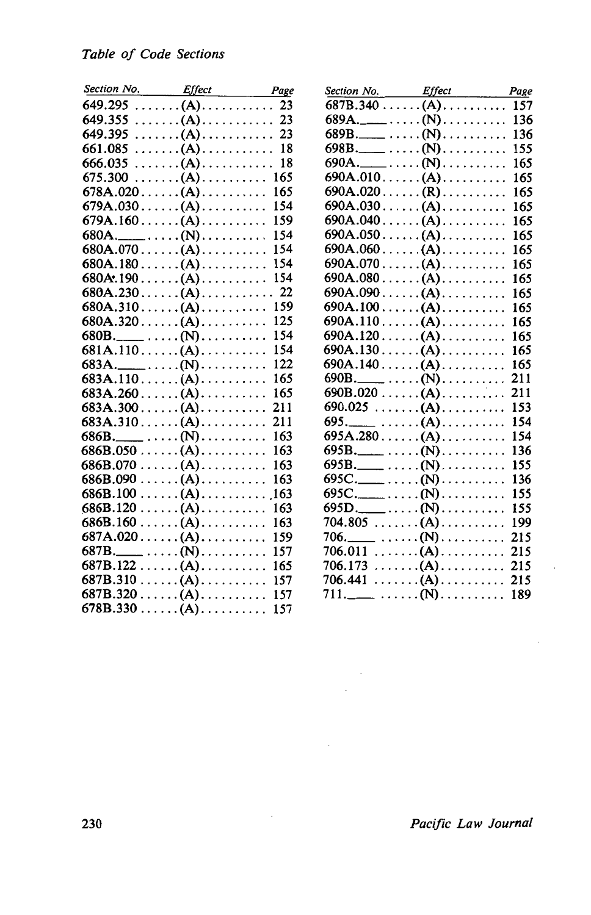| 649.295 (A) 23<br>$689A$ . $\ldots$ (N). 136<br>689B. ______ (N) 136<br>649.395 (A) 23<br>$698B$ . $\ldots$ (N). 155<br>661.085 (A) 18<br>$690A$ . $\ldots$ $(N)$ . $\ldots$ $\ldots$<br>18<br>165<br>$666.035$ (A)<br>165<br>$690A.010$ $(A)$<br>165<br>$675.300$ $(A)$<br>$690A.020$ (R)  165<br>165<br>$678A.020$ (A)<br>$679A.030$ (A) 154<br>$690A.030$ $(A)$<br>165<br>$690A.040$ $(A)$<br>159<br>$679A.160$ $(A)$<br>165<br>$690A.050$ (A) 165<br>154<br>$690A.060$ (A) 165<br>154<br>$680A.070$ (A)<br>$690A.070$ (A) 165<br>$680A.180$ $(A)$<br>154<br>$690A.080$ (A) 165<br>$690A.090$ (A) 165<br>$690A.100$ (A) 165<br>$690A.110$ (A) 165<br>$680A.320$ (A) 125<br>$690A.120$ $(A)$ 165<br>$680B$ . $\ldots$ (N). $\ldots$ 154<br>$690A.130$ (A) 165<br>$681A.110$ $(A)$<br>154<br>$690A.140$ (A)  165<br>122<br>165<br>$683A.110$ $(A)$<br>$683A.260$ (A) 165<br>$683A.310$ $(A)$<br>211<br>$695A.280$ (A) 154<br>163<br>$686B$ . $\ldots$ $(N)$<br>163<br>$686B.050$ (A)<br>$695B$ . $\ldots$ (N). 155<br>$686B.070$ (A)<br>163<br>$695C$ . $(N)$ . 136<br>$686B.090$ (A) 163<br>$695C$ . $(N)$ . 155<br>$686B.100$ (A)163<br>$695D$ . $(N)$ . $(155)$<br>$686B.120$ (A) 163<br>$686B.160$ (A)<br>163<br>$706.$ $\qquad \qquad \ldots \ldots (N) \ldots \ldots \ldots 215$<br>$687A.020$ (A)<br>159<br>$706.011 \ldots (A) \ldots \ldots 215$<br>687B. _______ (N)<br>157<br>$687B.122$ (A)<br>165<br>$706.441$ (A) 215<br>$687B.310$ (A) 157<br>$711.$ $\qquad \qquad \ldots \ldots (N) \ldots \ldots \ldots 189$<br>$687B.320$ (A) 157<br>$678B.330$ (A) 157 | Section No. Effect Page |  | Section No. Effect Page |  |
|-----------------------------------------------------------------------------------------------------------------------------------------------------------------------------------------------------------------------------------------------------------------------------------------------------------------------------------------------------------------------------------------------------------------------------------------------------------------------------------------------------------------------------------------------------------------------------------------------------------------------------------------------------------------------------------------------------------------------------------------------------------------------------------------------------------------------------------------------------------------------------------------------------------------------------------------------------------------------------------------------------------------------------------------------------------------------------------------------------------------------------------------------------------------------------------------------------------------------------------------------------------------------------------------------------------------------------------------------------------------------------------------------------------------------------------------------------------------------------------------------------------------------------------------------------------------------------|-------------------------|--|-------------------------|--|
|                                                                                                                                                                                                                                                                                                                                                                                                                                                                                                                                                                                                                                                                                                                                                                                                                                                                                                                                                                                                                                                                                                                                                                                                                                                                                                                                                                                                                                                                                                                                                                             |                         |  |                         |  |
|                                                                                                                                                                                                                                                                                                                                                                                                                                                                                                                                                                                                                                                                                                                                                                                                                                                                                                                                                                                                                                                                                                                                                                                                                                                                                                                                                                                                                                                                                                                                                                             |                         |  |                         |  |
|                                                                                                                                                                                                                                                                                                                                                                                                                                                                                                                                                                                                                                                                                                                                                                                                                                                                                                                                                                                                                                                                                                                                                                                                                                                                                                                                                                                                                                                                                                                                                                             |                         |  |                         |  |
|                                                                                                                                                                                                                                                                                                                                                                                                                                                                                                                                                                                                                                                                                                                                                                                                                                                                                                                                                                                                                                                                                                                                                                                                                                                                                                                                                                                                                                                                                                                                                                             |                         |  |                         |  |
|                                                                                                                                                                                                                                                                                                                                                                                                                                                                                                                                                                                                                                                                                                                                                                                                                                                                                                                                                                                                                                                                                                                                                                                                                                                                                                                                                                                                                                                                                                                                                                             |                         |  |                         |  |
|                                                                                                                                                                                                                                                                                                                                                                                                                                                                                                                                                                                                                                                                                                                                                                                                                                                                                                                                                                                                                                                                                                                                                                                                                                                                                                                                                                                                                                                                                                                                                                             |                         |  |                         |  |
|                                                                                                                                                                                                                                                                                                                                                                                                                                                                                                                                                                                                                                                                                                                                                                                                                                                                                                                                                                                                                                                                                                                                                                                                                                                                                                                                                                                                                                                                                                                                                                             |                         |  |                         |  |
|                                                                                                                                                                                                                                                                                                                                                                                                                                                                                                                                                                                                                                                                                                                                                                                                                                                                                                                                                                                                                                                                                                                                                                                                                                                                                                                                                                                                                                                                                                                                                                             |                         |  |                         |  |
|                                                                                                                                                                                                                                                                                                                                                                                                                                                                                                                                                                                                                                                                                                                                                                                                                                                                                                                                                                                                                                                                                                                                                                                                                                                                                                                                                                                                                                                                                                                                                                             |                         |  |                         |  |
|                                                                                                                                                                                                                                                                                                                                                                                                                                                                                                                                                                                                                                                                                                                                                                                                                                                                                                                                                                                                                                                                                                                                                                                                                                                                                                                                                                                                                                                                                                                                                                             |                         |  |                         |  |
|                                                                                                                                                                                                                                                                                                                                                                                                                                                                                                                                                                                                                                                                                                                                                                                                                                                                                                                                                                                                                                                                                                                                                                                                                                                                                                                                                                                                                                                                                                                                                                             |                         |  |                         |  |
|                                                                                                                                                                                                                                                                                                                                                                                                                                                                                                                                                                                                                                                                                                                                                                                                                                                                                                                                                                                                                                                                                                                                                                                                                                                                                                                                                                                                                                                                                                                                                                             |                         |  |                         |  |
|                                                                                                                                                                                                                                                                                                                                                                                                                                                                                                                                                                                                                                                                                                                                                                                                                                                                                                                                                                                                                                                                                                                                                                                                                                                                                                                                                                                                                                                                                                                                                                             |                         |  |                         |  |
|                                                                                                                                                                                                                                                                                                                                                                                                                                                                                                                                                                                                                                                                                                                                                                                                                                                                                                                                                                                                                                                                                                                                                                                                                                                                                                                                                                                                                                                                                                                                                                             |                         |  |                         |  |
|                                                                                                                                                                                                                                                                                                                                                                                                                                                                                                                                                                                                                                                                                                                                                                                                                                                                                                                                                                                                                                                                                                                                                                                                                                                                                                                                                                                                                                                                                                                                                                             |                         |  |                         |  |
|                                                                                                                                                                                                                                                                                                                                                                                                                                                                                                                                                                                                                                                                                                                                                                                                                                                                                                                                                                                                                                                                                                                                                                                                                                                                                                                                                                                                                                                                                                                                                                             |                         |  |                         |  |
|                                                                                                                                                                                                                                                                                                                                                                                                                                                                                                                                                                                                                                                                                                                                                                                                                                                                                                                                                                                                                                                                                                                                                                                                                                                                                                                                                                                                                                                                                                                                                                             |                         |  |                         |  |
|                                                                                                                                                                                                                                                                                                                                                                                                                                                                                                                                                                                                                                                                                                                                                                                                                                                                                                                                                                                                                                                                                                                                                                                                                                                                                                                                                                                                                                                                                                                                                                             |                         |  |                         |  |
|                                                                                                                                                                                                                                                                                                                                                                                                                                                                                                                                                                                                                                                                                                                                                                                                                                                                                                                                                                                                                                                                                                                                                                                                                                                                                                                                                                                                                                                                                                                                                                             |                         |  |                         |  |
|                                                                                                                                                                                                                                                                                                                                                                                                                                                                                                                                                                                                                                                                                                                                                                                                                                                                                                                                                                                                                                                                                                                                                                                                                                                                                                                                                                                                                                                                                                                                                                             |                         |  |                         |  |
|                                                                                                                                                                                                                                                                                                                                                                                                                                                                                                                                                                                                                                                                                                                                                                                                                                                                                                                                                                                                                                                                                                                                                                                                                                                                                                                                                                                                                                                                                                                                                                             |                         |  |                         |  |
|                                                                                                                                                                                                                                                                                                                                                                                                                                                                                                                                                                                                                                                                                                                                                                                                                                                                                                                                                                                                                                                                                                                                                                                                                                                                                                                                                                                                                                                                                                                                                                             |                         |  |                         |  |
|                                                                                                                                                                                                                                                                                                                                                                                                                                                                                                                                                                                                                                                                                                                                                                                                                                                                                                                                                                                                                                                                                                                                                                                                                                                                                                                                                                                                                                                                                                                                                                             |                         |  |                         |  |
|                                                                                                                                                                                                                                                                                                                                                                                                                                                                                                                                                                                                                                                                                                                                                                                                                                                                                                                                                                                                                                                                                                                                                                                                                                                                                                                                                                                                                                                                                                                                                                             |                         |  |                         |  |
|                                                                                                                                                                                                                                                                                                                                                                                                                                                                                                                                                                                                                                                                                                                                                                                                                                                                                                                                                                                                                                                                                                                                                                                                                                                                                                                                                                                                                                                                                                                                                                             |                         |  |                         |  |
|                                                                                                                                                                                                                                                                                                                                                                                                                                                                                                                                                                                                                                                                                                                                                                                                                                                                                                                                                                                                                                                                                                                                                                                                                                                                                                                                                                                                                                                                                                                                                                             |                         |  |                         |  |
|                                                                                                                                                                                                                                                                                                                                                                                                                                                                                                                                                                                                                                                                                                                                                                                                                                                                                                                                                                                                                                                                                                                                                                                                                                                                                                                                                                                                                                                                                                                                                                             |                         |  |                         |  |
|                                                                                                                                                                                                                                                                                                                                                                                                                                                                                                                                                                                                                                                                                                                                                                                                                                                                                                                                                                                                                                                                                                                                                                                                                                                                                                                                                                                                                                                                                                                                                                             |                         |  |                         |  |
|                                                                                                                                                                                                                                                                                                                                                                                                                                                                                                                                                                                                                                                                                                                                                                                                                                                                                                                                                                                                                                                                                                                                                                                                                                                                                                                                                                                                                                                                                                                                                                             |                         |  |                         |  |
|                                                                                                                                                                                                                                                                                                                                                                                                                                                                                                                                                                                                                                                                                                                                                                                                                                                                                                                                                                                                                                                                                                                                                                                                                                                                                                                                                                                                                                                                                                                                                                             |                         |  |                         |  |
|                                                                                                                                                                                                                                                                                                                                                                                                                                                                                                                                                                                                                                                                                                                                                                                                                                                                                                                                                                                                                                                                                                                                                                                                                                                                                                                                                                                                                                                                                                                                                                             |                         |  |                         |  |
|                                                                                                                                                                                                                                                                                                                                                                                                                                                                                                                                                                                                                                                                                                                                                                                                                                                                                                                                                                                                                                                                                                                                                                                                                                                                                                                                                                                                                                                                                                                                                                             |                         |  |                         |  |
|                                                                                                                                                                                                                                                                                                                                                                                                                                                                                                                                                                                                                                                                                                                                                                                                                                                                                                                                                                                                                                                                                                                                                                                                                                                                                                                                                                                                                                                                                                                                                                             |                         |  |                         |  |
|                                                                                                                                                                                                                                                                                                                                                                                                                                                                                                                                                                                                                                                                                                                                                                                                                                                                                                                                                                                                                                                                                                                                                                                                                                                                                                                                                                                                                                                                                                                                                                             |                         |  |                         |  |
|                                                                                                                                                                                                                                                                                                                                                                                                                                                                                                                                                                                                                                                                                                                                                                                                                                                                                                                                                                                                                                                                                                                                                                                                                                                                                                                                                                                                                                                                                                                                                                             |                         |  |                         |  |
|                                                                                                                                                                                                                                                                                                                                                                                                                                                                                                                                                                                                                                                                                                                                                                                                                                                                                                                                                                                                                                                                                                                                                                                                                                                                                                                                                                                                                                                                                                                                                                             |                         |  |                         |  |

| $98B$ . $\ldots$ (N). 155                                    |     |
|--------------------------------------------------------------|-----|
| $90A$ . $\qquad \qquad \ldots (N) \ldots \ldots$             | 165 |
| 90A.010 (A)                                                  | 165 |
| $90A.020$ (R)                                                | 165 |
| $90A.030$ (A)                                                | 165 |
| $90A.040$ (A)                                                | 165 |
| $90A.050$ (A)                                                | 165 |
| $90A.060$ (A)                                                | 165 |
| $90A.070$ (A)                                                | 165 |
| $90A.080$ (A)                                                | 165 |
| $90A.090$ (A)                                                | 165 |
| $90A.100$ (A)                                                | 165 |
| 90A.110 (A)                                                  | 165 |
| 90A.120 (A)                                                  | 165 |
| 90A.130 (A)                                                  | 165 |
| 90A.140 (A)                                                  | 165 |
| $90B$ . $\qquad \qquad \ldots (N) \ldots \ldots$             | 211 |
| $90B.020$ (A)                                                | 211 |
| 90.025 (A)                                                   | 153 |
| 95. ______ (A)                                               | 154 |
| 95A.280 (A)                                                  | 154 |
| 95B.____ (N)                                                 | 136 |
| 95B._____ (N)                                                | 155 |
| $95C$ . $\qquad \qquad \ldots (N)$                           | 136 |
| 95C._____ (N)                                                | 155 |
| $95D$ . $(N)$ . $\ldots$ . $\ldots$ .                        | 155 |
| $04.805 \ldots (A) \ldots \ldots$                            | 199 |
| $06.$ $\qquad \qquad \ldots \ldots (N) \ldots \ldots \ldots$ | 215 |
| $06.011 \ldots (A) \ldots \ldots 215$                        |     |
| $06.173$ (A) 215                                             |     |
| $06.441 \ldots (A) \ldots \ldots 215$                        |     |
|                                                              |     |
|                                                              |     |
|                                                              |     |

 $\bar{\mathcal{A}}$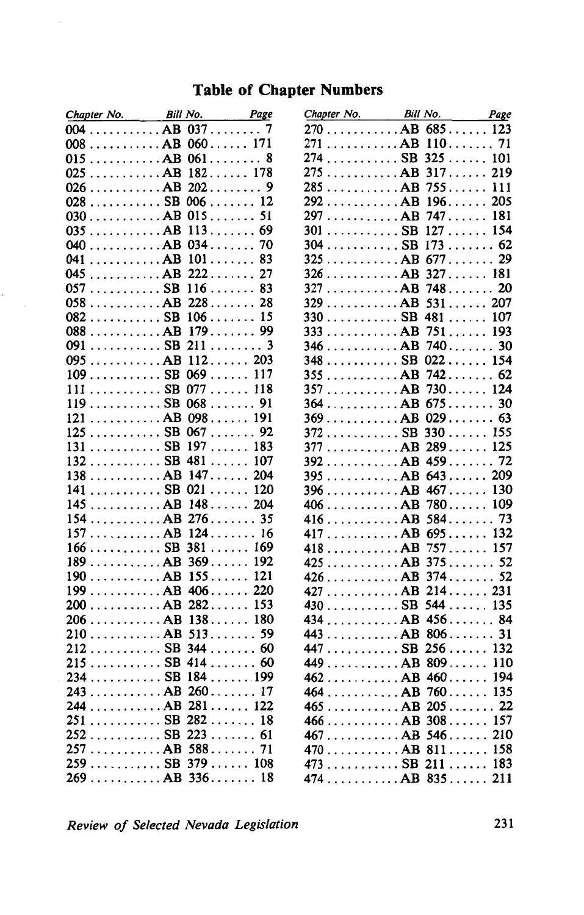### **Table of Chapter Numbers**

| Chapter No. | <b>Bill No.</b><br>Page                                     | Chapter No. | <b>Bill No.</b>                                              | Page |
|-------------|-------------------------------------------------------------|-------------|--------------------------------------------------------------|------|
|             | $004$ AB $037$<br>7                                         |             | $270$ AB 685123                                              |      |
|             | $008$ AB $060$ 171                                          |             | $271$ AB $110$                                               | 71   |
|             | $015$ AB $061$<br>8                                         |             | $274$ SB 325 101                                             |      |
|             | $025$ AB $182$ 178                                          |             | $275$ AB 317 219                                             |      |
|             | $026$ AB $202$<br>9                                         |             | 285  AB 755 111                                              |      |
|             | $028$ SB $006$ 12                                           |             | $292$ AB $196$ 205                                           |      |
|             | $030$ AB $015$ 51                                           |             | 297 AB 747 181                                               |      |
|             | $035$ AB $113$ 69                                           |             | $301$ SB $127$ 154                                           |      |
|             |                                                             |             | $304$ SB $173$ 62                                            |      |
|             | $041$ AB $101$ 83                                           |             | $325$ AB $677$ 29                                            |      |
|             | $045$ AB $222$ 27                                           |             | $326$ AB $327$ 181                                           |      |
|             | $057$ SB $116$ 83                                           |             | $327$ AB $748$ 20                                            |      |
|             | $058$ AB $228$ 28                                           |             | $329$ AB $531$ 207                                           |      |
|             | $082$ SB $106$ 15                                           |             | $330$ SB 481 107                                             |      |
|             | $088$ AB $179$                                              |             | $333$ AB $751$ 193                                           |      |
|             | $091$ SB 211  3                                             |             | $346$ AB $740$ 30                                            |      |
|             | 095  AB 112 203                                             |             | $348$ SB 022 154                                             |      |
|             | $109$ SB 069 117                                            |             | $355$ AB $742$ 62                                            |      |
|             | $111$ SB 077  118                                           |             | $357$ AB $730$ 124                                           |      |
|             | $119$ SB 068 91                                             |             | $364$ AB $675$ 30                                            |      |
|             | $121$ AB 098 191                                            |             | $369$ AB 029 63                                              |      |
|             | $125$ SB 067 92                                             |             | $372$ SB $330$ 155                                           |      |
|             | $131$ SB $197$ 183                                          |             | $377$ AB $289$ 125                                           |      |
|             | $132$ SB 481 107                                            |             | $392$ AB $459$ 72                                            |      |
|             | $138$ AB $147$ 204                                          |             | $395$ AB $643$ 209                                           |      |
|             | $141$ SB 021  120                                           |             | $396$ AB $467$ 130                                           |      |
|             | $145$ AB $148$ 204                                          |             | $406$ AB $780$ 109                                           |      |
|             | $154$ AB $276$ 35                                           |             | $416$ AB 58473                                               |      |
|             | $157$ AB $124$ 16                                           |             | $417$ AB $695$ 132                                           |      |
|             | $166 \ldots \ldots \ldots \text{SB } 381 \ldots \ldots 169$ |             | $418$ AB $757$ 157                                           |      |
|             | $189$ AB $369$ 192                                          |             | $425$ AB $375$ 52                                            |      |
|             | $190$ AB $155$ 121                                          |             | $426$ AB 37452                                               |      |
|             | $199$ AB $406$ 220                                          |             | 427 AB 214 231                                               |      |
|             | $200$ AB $282$ 153                                          |             | $430$ SB 544 135                                             |      |
|             | $206$ AB $138$ 180                                          |             | 434  AB 456 84                                               |      |
|             | $210$ AB $513$ 59                                           |             | $443$ AB $806$ 31                                            |      |
|             | $212$ SB 344 60                                             |             | $447$ SB 256 132                                             |      |
|             | $215$ SB 414 60                                             |             | 449 AB 809 110                                               |      |
|             | $234$ SB $184$ 199                                          |             | $462$ AB $460$ 194                                           |      |
|             | $243$ AB $260$ 17                                           |             | $464$ AB $760$ 135                                           |      |
|             | $244$ AB $281$ 122                                          |             |                                                              |      |
|             | $251$ SB $282$ 18                                           |             | $465$ AB $205$ 22<br>$466$ AB 308 157                        |      |
|             | $252$ SB 223 61                                             |             |                                                              |      |
|             | 257AB 58871                                                 |             | $467$ AB $546$ 210                                           |      |
|             | $259$ SB 379 108                                            |             | 470AB 811 158                                                |      |
| 260         | AR 336 18                                                   |             | $473$ SB 211 183<br>$A7A$ $\Delta$ <b>D</b> $\Omega$ $\zeta$ | 211  |
|             |                                                             |             |                                                              |      |

.

| Chapter No. Bill No. |                                              | Page | Chapter No. | <b>Bill No.</b>                       | Page |
|----------------------|----------------------------------------------|------|-------------|---------------------------------------|------|
|                      | $004$ AB $037$                               | 7    |             | $270$ AB $685$ 123                    |      |
|                      | $008$ AB $060$ 171                           |      |             | $271$ AB $110$                        |      |
|                      | $015$ AB $061$ 8                             |      |             | $274$ SB 325 101                      |      |
|                      | $025$ AB $182$ 178                           |      |             | $275$ AB 317 219                      |      |
|                      |                                              |      |             | $285$ AB $755$ 111                    |      |
|                      | $028$ SB $006$ 12                            |      |             | $292$ AB $196$ 205                    |      |
|                      | $030$ AB $015$ 51                            |      |             | 297 AB 747 181                        |      |
|                      | $035$ AB $113$ 69                            |      |             | $301$ SB 127  154                     |      |
|                      | $040$ AB $034$ 70                            |      |             | $304$ SB 173 62                       |      |
|                      | $041$ AB $101$ 83                            |      |             | $325$ AB $677$ 29                     |      |
|                      | 045 AB 222 27                                |      |             | $326$ AB $327$ 181                    |      |
|                      | $057$ SB $116$ 83                            |      |             | $327$ AB $748$ 20                     |      |
|                      | $058$ AB $228$ 28                            |      |             | $329$ AB $531$ 207                    |      |
|                      | $082$ SB $106$ 15                            |      |             | $330$ SB 481 107                      |      |
|                      | 088 AB 179 99                                |      |             | $333 \ldots \ldots \ldots AB$ 751 193 |      |
|                      | 091 SB 211 3                                 |      |             |                                       |      |
|                      | $095$ AB $112$ 203                           |      |             | $348$ SB 022 154                      |      |
|                      | $109$ SB $069$ 117                           |      |             | $355$ $AB 742$                        |      |
|                      | $111 \ldots \ldots \ldots \ldots$ SB 077 118 |      |             | $357$ AB $730$ 124                    |      |
|                      | $119$ SB 068 91                              |      |             | $364$ AB $675$ 30                     |      |
|                      | $121$ AB 098 191                             |      |             | $369$ AB 029 63                       |      |
|                      | $125$ SB 067 92                              |      |             | $372$ SB $330$ 155                    |      |
|                      | $131$ SB $197$ 183                           |      |             | $377$ AB $289$ 125                    |      |
|                      | $132$ SB 481 107                             |      |             | $392$ AB $459$ 72                     |      |
|                      | $138$ AB $147$ 204                           |      |             | $395$ AB $643$ 209                    |      |
|                      | $141$ SB 021  120                            |      |             | $396$ AB $467$ 130                    |      |
|                      | $145$ AB $148$ 204                           |      |             |                                       |      |
|                      | $154$ AB $276$ 35                            |      |             | $416$ AB 58473                        |      |
|                      | $157$ AB $124$ 16                            |      |             | $417$ AB $695$ 132                    |      |
|                      | $166$ SB 381 169                             |      |             | $418$ AB $757$ 157                    |      |
|                      | $189$ AB $369$ 192                           |      |             |                                       |      |
|                      | $190$ AB $155$ 121                           |      |             | $426$ AB 37452                        |      |
|                      | $199$ AB $406$ 220                           |      |             | 427 AB 214 231                        |      |
|                      | $200$ AB $282$ 153                           |      |             | $430$ SB 544 135                      |      |
|                      | $206$ AB $138$ 180                           |      |             | $434$ AB $456$ 84                     |      |
|                      | $210$ AB 51359                               |      |             | $443$ AB 806 31                       |      |
|                      | $212$ SB 344 60                              |      |             | $447$ SB 256 132                      |      |
|                      | $215$ SB 414 60                              |      |             | 449 AB 809 110                        |      |
|                      | $234$ SB $184$ 199                           |      |             | $462$ AB $460$ 194                    |      |
|                      | $243$ AB $260$ 17                            |      |             | $464$ AB $760$ 135                    |      |
|                      | $244$ AB $281$ 122                           |      |             | $465$ AB $205$ 22                     |      |
|                      | $251$ SB $282$ 18                            |      |             | $466$ AB $308$ 157                    |      |
|                      | $252$ SB 223 61                              |      |             | $467$ AB $546$ 210                    |      |
|                      |                                              |      |             | 470 AB 811 158                        |      |
|                      | $259$ SB 379 108                             |      |             | $473$ SB 211 183                      |      |
|                      | $269$ AB $336$ 18                            |      |             | $474$ AB $835$ 211                    |      |
|                      |                                              |      |             |                                       |      |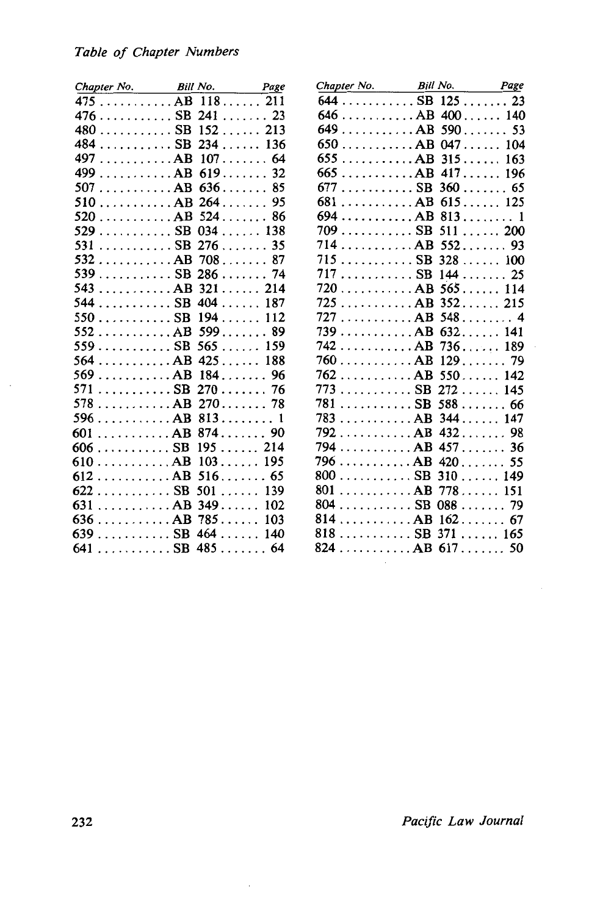#### *Table of Chapter Numbers*

| Chapter No. Bill No. Page | Chapter No. Bill No. Page                       |    |
|---------------------------|-------------------------------------------------|----|
| $475$ $AB$ 118 211        | $644$ SB 125  23                                |    |
| $476$ SB 241 23           | $646$ AB $400$ 140                              |    |
| $480$ SB $152$ 213        | $649$ AB $590$ 53                               |    |
| $484$ SB 234 136          | $650$ AB 047 104                                |    |
| 497 AB 107 64             | $655$ AB $315$ 163                              |    |
| 499 AB 619 32             | $665$ AB $417$ 196                              |    |
| $507$ AB $636$ 85         | $677$ SB 360 65                                 |    |
| $510$ $AB 264$            | $681$ AB $615$ 125                              |    |
| $520$ AB $524$ 86         | $694$ AB $813$ 1                                |    |
| $529$ SB 034 138          | $709$ SB 511 200                                |    |
| $531$ SB 276  35          | $714$ AB $552$                                  |    |
| $532$ AB $708$            | $715$ SB 328 100                                |    |
| $539$ SB 286 74           | $717$ SB $144$ 25                               |    |
| $543$ AB $321$ 214        | $720$ AB $565$ 114                              |    |
| $544$ SB 404 187          | $725$ AB 352 215                                |    |
| $550$ SB $194$ 112        | 727 AB 548 4                                    |    |
| $552$ AB $599$ 89         | $739$ AB $632$ 141                              |    |
| $559$ SB $565$ 159        | $742$ AB $736$ 189                              |    |
| $564$ AB $425$ 188        | $760$ AB 129 79                                 |    |
| $569$ AB $184$ 96         | $762$ AB $550$ 142                              |    |
| $571$ SB 270  76          | $773$ SB 272 145                                |    |
| $578$ AB $270$ 78         | $781$ SB 588 66                                 |    |
| $596$ AB $813$            | $783 \ldots \ldots \ldots AB \; 344 \ldots 147$ |    |
| $601$ AB $874$            | $792$ AB $432$ 98                               |    |
| $606$ SB $195$ 214        | $794$ AB $457$ 36                               |    |
| $610$ AB $103$ 195        | $796$ AB 420                                    | 55 |
| $612$ AB $516$            | $800$ SB 310 149                                |    |
| $622$ SB 501 139          | $801$ AB $778$ 151                              |    |
| $631$ AB 349 102          | $804$ SB 088 79                                 |    |
| $636$ AB $785$ 103        | $814$ AB $162$                                  | 67 |
| $639$ BB 464140           | $818$ SB 371 165                                |    |
| $641$ SB 485  64          | $824$ AB 617 50                                 |    |

232 *Pacific Law Journal*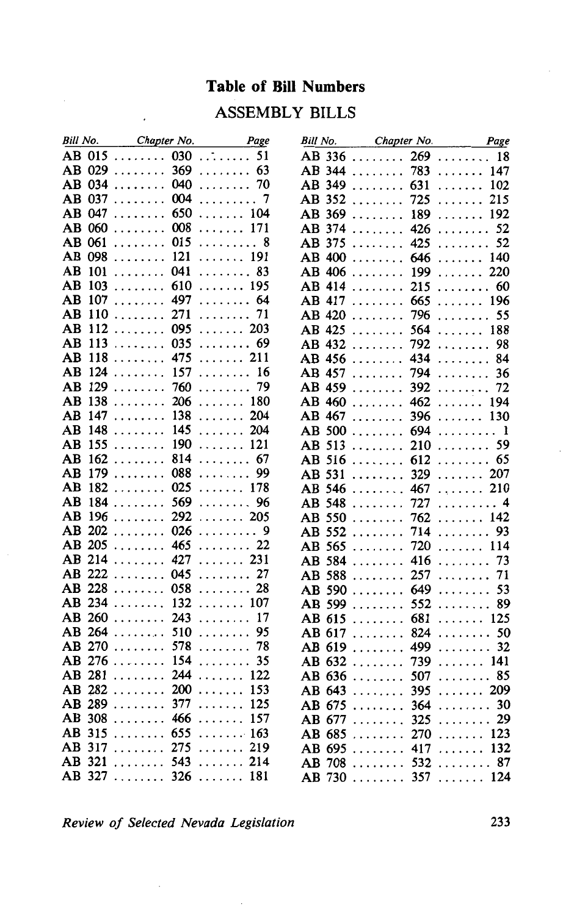## **Table of Bill Numbers**

#### ASSEMBLY BILLS

| Bill No. |               | Chapter No.                    | Page                   | Bill No. | Chapter No.                | Page                      |
|----------|---------------|--------------------------------|------------------------|----------|----------------------------|---------------------------|
| AB       | 015           | $\cdots \cdots \cdots 030$     | $\overline{\cdots}$ 51 |          | AB 336  269                | 18                        |
|          |               | AB 029  369                    | 63<br>.                |          | 783<br>AB 344              | . 147                     |
|          |               | AB 034  040                    | 70<br>.                |          | AB 349  631                | .<br>102                  |
|          | AB 037        | . 004                          | 7<br>.                 |          | AB 352  725                | .<br>215                  |
|          |               | AB 047  650  104               |                        |          | AB 369  189                | $\cdots \cdots 192$       |
|          |               | AB 060  008                    | . 171                  |          | AB 374  426                | 52<br>.                   |
|          | AB 061        | $\cdots \cdots 015$            | .<br>8                 |          | AB 375  425                | . 52                      |
|          |               | AB 098  121                    | $\cdots$ 191           |          | AB 400  646                | $\cdots \cdots 140$       |
|          |               | AB 101  041                    | 83<br>1.1.1.1.1.1      |          | AB 406  199                | 220<br>.                  |
| AB       | 103           | $\ldots \ldots 610$            | $\cdots \cdots 195$    |          | AB 414  215                | . 60                      |
|          |               | AB 107  497                    | . 64                   |          | AB 417  665  196           |                           |
|          |               | AB 110  271                    | 71<br>.                | AB 420   | 796<br>.                   | 55<br>.                   |
|          | AB 112        | $\cdots \cdots \cdots 095$     | $\cdots$ 203           |          | AB 425  564                | 188                       |
| AB       |               | $113 \ldots \ldots \ldots 035$ | . 69                   |          | AB 432  792  98            |                           |
|          |               | AB 118  475                    | $\cdots \cdots 211$    |          | AB 456  434                | .<br>84                   |
|          | AB 124        | . 157                          | . 16                   |          | AB 457  794                | $\cdots \cdots \cdots 36$ |
|          |               | AB 129  760                    | 79<br>.                |          | AB 459  392                | 72                        |
|          | <b>AB</b> 138 | $\cdots \cdots 206$            | $\cdots \cdots 180$    |          | AB 460  462                | $\cdots \cdots$ 194       |
|          | AB 147        | . 138                          | 204<br>.               | AB 467   | $\cdots \cdots \cdots$ 396 | $\cdots \cdots 130$       |
| AB       |               | $148$ 145                      | $\cdots \cdots 204$    |          | AB 500  694                | .<br>-1                   |
|          |               | AB 155  190                    | . 121                  |          | AB 513  210                | . 59                      |
|          |               | AB 162  814                    | .<br>67                |          | AB 516  612                | . 65                      |
|          |               | AB 179  088                    | .<br>99                | AB 531   | $\cdots \cdots 329$        | $\cdots \cdots 207$       |
|          | AB 182        | $\cdots \cdots 025$            | $\ldots \ldots 178$    | AB 546   | . 467                      | $\ldots \ldots 210$       |
| AB.      | 184           | $\cdots \cdots \cdots 569$     | 96<br>.                | AB 548   | 727<br>.                   | .<br>-4                   |
| AB       |               | $196$ 292                      | $\cdots \cdots 205$    |          | 762<br>AB 550              | .<br>142                  |
|          | AB 202        | $\ldots \ldots 026$            | . 9                    |          | AB 552  714                | . 93                      |
|          |               | AB 205  465  22                |                        |          | $AB$ 565<br>720            | . 114                     |
|          |               | AB 214  427                    | $\cdots \cdots 231$    | AB 584   | . 416                      | 73                        |
|          |               | AB 222  045                    | . 27                   |          | AB 588  257                | 71<br>.                   |
|          |               | AB 228  058                    | . 28                   | AB 590   | $\cdots \cdots 649$        | . 53                      |
|          |               | AB 234  132                    | $\cdots \cdots 107$    |          | $AB$ 599  552              | 89                        |
|          |               | AB 260  243                    | . 17                   |          | AB 615  681  125           |                           |
|          |               | AB 264  510                    | 95                     |          | AB 617  824                | 50<br>.                   |
|          |               | AB 270  578                    | .<br>78                |          | 499<br>AB 619              | 1.1.1.1.1.1.1<br>32       |
|          |               | AB 276  154                    | 35<br>.                | AB 632   | $\ldots \ldots 739$        | . 141                     |
|          |               | AB 281  244                    | . 122                  |          | AB 636  507                | 85<br>.                   |
|          | AB 282        | $\cdots \cdots 200$            | $\cdots \cdots 153$    |          | AB 643  395                | $\cdots$ 209              |
|          |               | AB 289  377                    | .<br>125               | AB 675   | $\cdots \cdots \cdots$ 364 | $\ldots \ldots 30$        |
|          |               | AB 308  466                    | 157                    |          | AB 677  325                | 29<br>.                   |
|          | AB 315        | $\cdots \cdots 655$            | $\cdots \cdots 163$    | AB 685   | $\cdots \cdots 270$        | $\cdots \cdots 123$       |
|          | AB 317        | $\cdots \cdots 275$            | .<br>219               | AB 695   | . 417                      | 132<br>.                  |
| AB 321   |               | 543                            | $\cdots$ 214           | AB 708   | $\cdots \cdots 532$        | 87<br>1.1.1.1.1.1.1       |
|          |               | AB 327  326                    | . 181                  |          | AB 730  357                | . 124                     |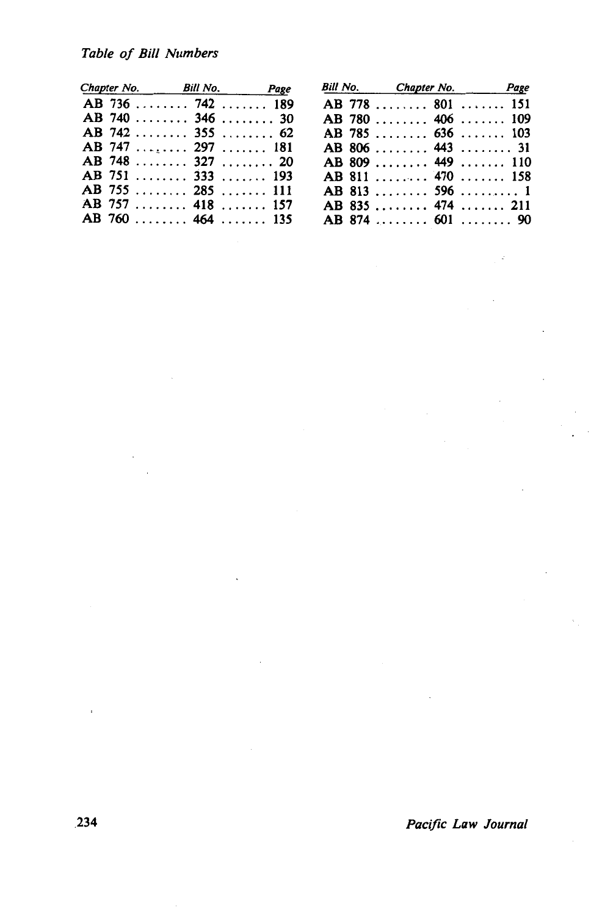| Chapter No. Bill No. Page |  |
|---------------------------|--|
| AB 736  742  189          |  |
| AB 740  346  30           |  |
| AB 742  355  62           |  |
| AB 747  297  181          |  |
| AB 748  327  20           |  |
| AB 751  333  193          |  |
| AB 755  285  111          |  |
| AB 757  418  157          |  |
| AB 760  464  135          |  |
|                           |  |

|                  | Bill No. Chapter No. Page |
|------------------|---------------------------|
| AB 778  801  151 |                           |
|                  | AB 780  406  109          |
| AB 785  636  103 |                           |
| AB 806  443  31  |                           |
|                  | AB 809  449  110          |
|                  | AB 811  470  158          |
|                  | AB 813  596  1            |
|                  | AB 835  474  211          |
|                  | AB 874  601  90           |
|                  |                           |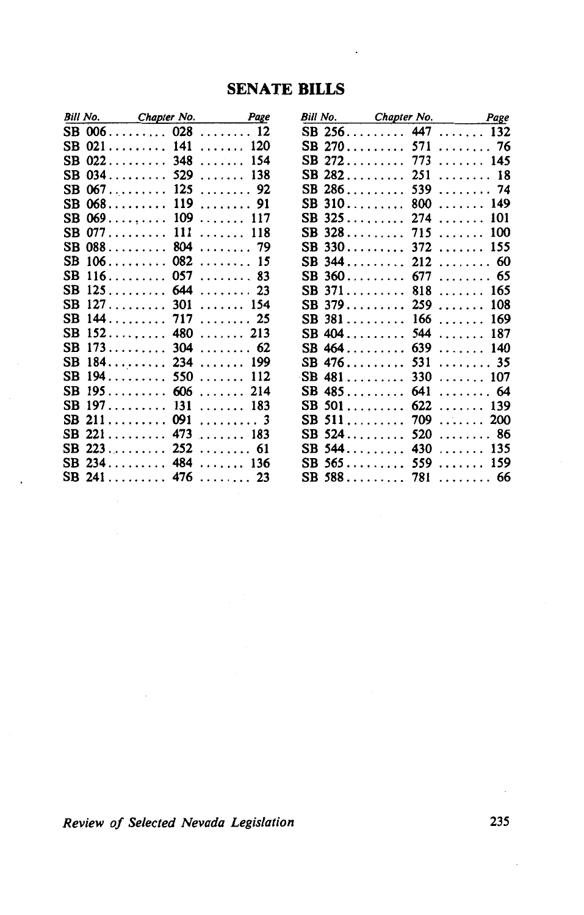#### **SENATE BILLS**

|     |  | Bill No. Chapter No. Page                           |  |  | Bill No. Chapter No. Page |
|-----|--|-----------------------------------------------------|--|--|---------------------------|
|     |  | $SB$ 006 028  12                                    |  |  | SB 256 447  132           |
|     |  | SB $021$ 141  120                                   |  |  | SB 270 571  76            |
|     |  | SB $022$ 348  154                                   |  |  | SB 272 773  145           |
|     |  | SB 034 529  138                                     |  |  | SB 282 251  18            |
|     |  | SB $067$ 125  92                                    |  |  | SB $286$ 539  74          |
|     |  | SB 068 119  91                                      |  |  | SB 310 800  149           |
|     |  | SB 069 109  117                                     |  |  | $SB$ 325 274 101          |
|     |  | SB 077 111  118                                     |  |  | $SB$ 328 715 100          |
|     |  | SB 088 804  79                                      |  |  | SB 330 372  155           |
|     |  | SB $106$ 082  15                                    |  |  | SB $344$ 212  60          |
|     |  | SB 116 057  83                                      |  |  | $SB$ 360 677  65          |
|     |  | SB $125$ 644  23                                    |  |  | SB 371 818 165            |
|     |  | SB $127 \ldots \ldots \ldots 301 \ldots \ldots 154$ |  |  | SB 379 259  108           |
|     |  | SB 144 717  25                                      |  |  | $SB$ 381 166 169          |
|     |  | SB 152 480  213                                     |  |  | SB 404 544  187           |
|     |  | SB $173$ 304  62                                    |  |  | SB $464$ 639  140         |
|     |  | SB 184 234  199                                     |  |  | SB $476$ 531  35          |
|     |  | SB 194 550  112                                     |  |  | $SB$ 481 330 107          |
| SB. |  | $195$ 606 214                                       |  |  | SB 485 641 64             |
|     |  | SB 197 131  183                                     |  |  | SB $501$ 622  139         |
| SB  |  |                                                     |  |  | SB $511$ 709  200         |
|     |  | SB 221 473 183                                      |  |  | SB 524 520  86            |
| SB. |  | $223$ $252$                                         |  |  | SB $544$ 430  135         |
|     |  | $SB$ 234 484 136                                    |  |  | SB $565$ 559  159         |
|     |  | SB $241$ 476  23                                    |  |  | SB 588 781  66            |

*Review of Selected Nevada Legislation* 

235